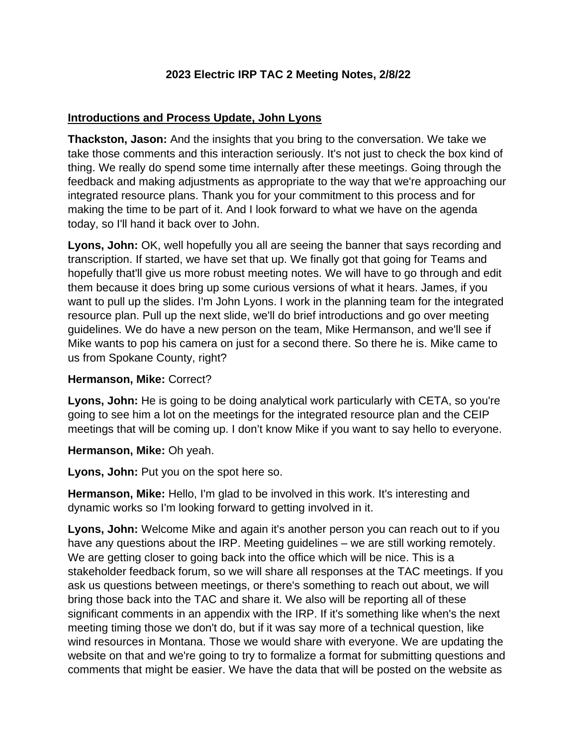## **2023 Electric IRP TAC 2 Meeting Notes, 2/8/22**

### **Introductions and Process Update, John Lyons**

**Thackston, Jason:** And the insights that you bring to the conversation. We take we take those comments and this interaction seriously. It's not just to check the box kind of thing. We really do spend some time internally after these meetings. Going through the feedback and making adjustments as appropriate to the way that we're approaching our integrated resource plans. Thank you for your commitment to this process and for making the time to be part of it. And I look forward to what we have on the agenda today, so I'll hand it back over to John.

**Lyons, John:** OK, well hopefully you all are seeing the banner that says recording and transcription. If started, we have set that up. We finally got that going for Teams and hopefully that'll give us more robust meeting notes. We will have to go through and edit them because it does bring up some curious versions of what it hears. James, if you want to pull up the slides. I'm John Lyons. I work in the planning team for the integrated resource plan. Pull up the next slide, we'll do brief introductions and go over meeting guidelines. We do have a new person on the team, Mike Hermanson, and we'll see if Mike wants to pop his camera on just for a second there. So there he is. Mike came to us from Spokane County, right?

#### **Hermanson, Mike:** Correct?

**Lyons, John:** He is going to be doing analytical work particularly with CETA, so you're going to see him a lot on the meetings for the integrated resource plan and the CEIP meetings that will be coming up. I don't know Mike if you want to say hello to everyone.

#### **Hermanson, Mike:** Oh yeah.

**Lyons, John:** Put you on the spot here so.

**Hermanson, Mike:** Hello, I'm glad to be involved in this work. It's interesting and dynamic works so I'm looking forward to getting involved in it.

**Lyons, John:** Welcome Mike and again it's another person you can reach out to if you have any questions about the IRP. Meeting guidelines – we are still working remotely. We are getting closer to going back into the office which will be nice. This is a stakeholder feedback forum, so we will share all responses at the TAC meetings. If you ask us questions between meetings, or there's something to reach out about, we will bring those back into the TAC and share it. We also will be reporting all of these significant comments in an appendix with the IRP. If it's something like when's the next meeting timing those we don't do, but if it was say more of a technical question, like wind resources in Montana. Those we would share with everyone. We are updating the website on that and we're going to try to formalize a format for submitting questions and comments that might be easier. We have the data that will be posted on the website as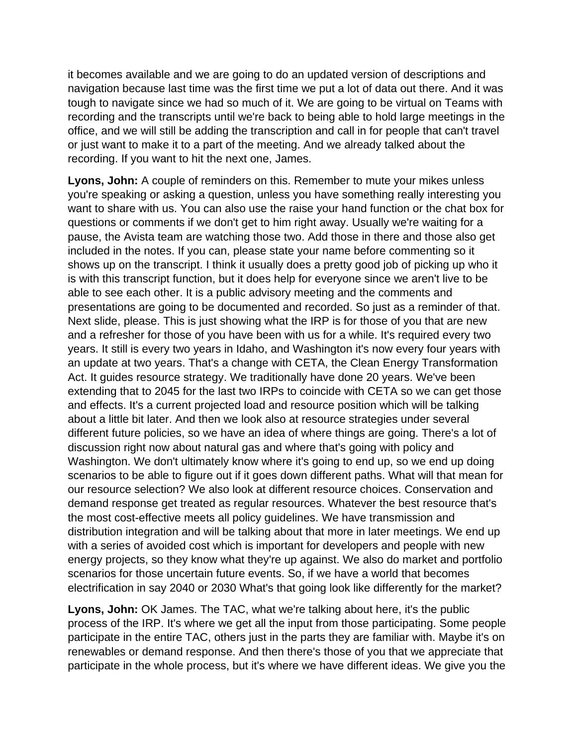it becomes available and we are going to do an updated version of descriptions and navigation because last time was the first time we put a lot of data out there. And it was tough to navigate since we had so much of it. We are going to be virtual on Teams with recording and the transcripts until we're back to being able to hold large meetings in the office, and we will still be adding the transcription and call in for people that can't travel or just want to make it to a part of the meeting. And we already talked about the recording. If you want to hit the next one, James.

**Lyons, John:** A couple of reminders on this. Remember to mute your mikes unless you're speaking or asking a question, unless you have something really interesting you want to share with us. You can also use the raise your hand function or the chat box for questions or comments if we don't get to him right away. Usually we're waiting for a pause, the Avista team are watching those two. Add those in there and those also get included in the notes. If you can, please state your name before commenting so it shows up on the transcript. I think it usually does a pretty good job of picking up who it is with this transcript function, but it does help for everyone since we aren't live to be able to see each other. It is a public advisory meeting and the comments and presentations are going to be documented and recorded. So just as a reminder of that. Next slide, please. This is just showing what the IRP is for those of you that are new and a refresher for those of you have been with us for a while. It's required every two years. It still is every two years in Idaho, and Washington it's now every four years with an update at two years. That's a change with CETA, the Clean Energy Transformation Act. It guides resource strategy. We traditionally have done 20 years. We've been extending that to 2045 for the last two IRPs to coincide with CETA so we can get those and effects. It's a current projected load and resource position which will be talking about a little bit later. And then we look also at resource strategies under several different future policies, so we have an idea of where things are going. There's a lot of discussion right now about natural gas and where that's going with policy and Washington. We don't ultimately know where it's going to end up, so we end up doing scenarios to be able to figure out if it goes down different paths. What will that mean for our resource selection? We also look at different resource choices. Conservation and demand response get treated as regular resources. Whatever the best resource that's the most cost-effective meets all policy guidelines. We have transmission and distribution integration and will be talking about that more in later meetings. We end up with a series of avoided cost which is important for developers and people with new energy projects, so they know what they're up against. We also do market and portfolio scenarios for those uncertain future events. So, if we have a world that becomes electrification in say 2040 or 2030 What's that going look like differently for the market?

**Lyons, John:** OK James. The TAC, what we're talking about here, it's the public process of the IRP. It's where we get all the input from those participating. Some people participate in the entire TAC, others just in the parts they are familiar with. Maybe it's on renewables or demand response. And then there's those of you that we appreciate that participate in the whole process, but it's where we have different ideas. We give you the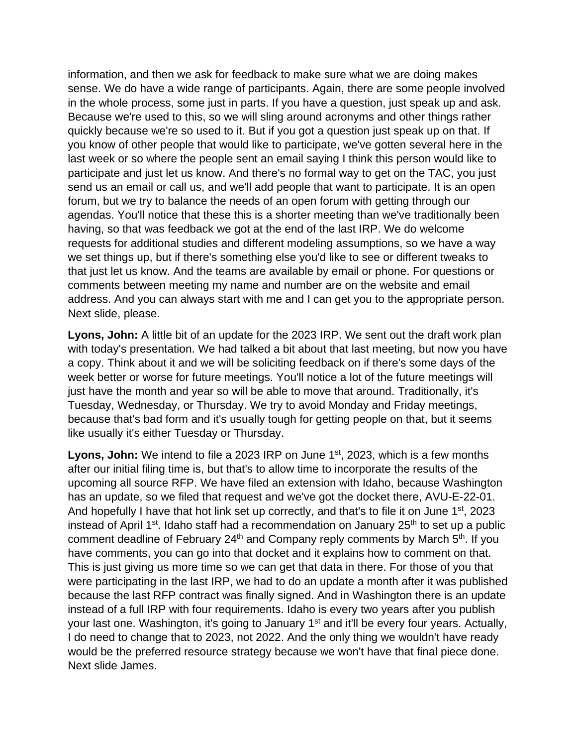information, and then we ask for feedback to make sure what we are doing makes sense. We do have a wide range of participants. Again, there are some people involved in the whole process, some just in parts. If you have a question, just speak up and ask. Because we're used to this, so we will sling around acronyms and other things rather quickly because we're so used to it. But if you got a question just speak up on that. If you know of other people that would like to participate, we've gotten several here in the last week or so where the people sent an email saying I think this person would like to participate and just let us know. And there's no formal way to get on the TAC, you just send us an email or call us, and we'll add people that want to participate. It is an open forum, but we try to balance the needs of an open forum with getting through our agendas. You'll notice that these this is a shorter meeting than we've traditionally been having, so that was feedback we got at the end of the last IRP. We do welcome requests for additional studies and different modeling assumptions, so we have a way we set things up, but if there's something else you'd like to see or different tweaks to that just let us know. And the teams are available by email or phone. For questions or comments between meeting my name and number are on the website and email address. And you can always start with me and I can get you to the appropriate person. Next slide, please.

**Lyons, John:** A little bit of an update for the 2023 IRP. We sent out the draft work plan with today's presentation. We had talked a bit about that last meeting, but now you have a copy. Think about it and we will be soliciting feedback on if there's some days of the week better or worse for future meetings. You'll notice a lot of the future meetings will just have the month and year so will be able to move that around. Traditionally, it's Tuesday, Wednesday, or Thursday. We try to avoid Monday and Friday meetings, because that's bad form and it's usually tough for getting people on that, but it seems like usually it's either Tuesday or Thursday.

Lyons, John: We intend to file a 2023 IRP on June 1<sup>st</sup>, 2023, which is a few months after our initial filing time is, but that's to allow time to incorporate the results of the upcoming all source RFP. We have filed an extension with Idaho, because Washington has an update, so we filed that request and we've got the docket there, AVU-E-22-01. And hopefully I have that hot link set up correctly, and that's to file it on June 1<sup>st</sup>, 2023 instead of April 1<sup>st</sup>. Idaho staff had a recommendation on January 25<sup>th</sup> to set up a public comment deadline of February 24<sup>th</sup> and Company reply comments by March 5<sup>th</sup>. If you have comments, you can go into that docket and it explains how to comment on that. This is just giving us more time so we can get that data in there. For those of you that were participating in the last IRP, we had to do an update a month after it was published because the last RFP contract was finally signed. And in Washington there is an update instead of a full IRP with four requirements. Idaho is every two years after you publish your last one. Washington, it's going to January 1<sup>st</sup> and it'll be every four years. Actually, I do need to change that to 2023, not 2022. And the only thing we wouldn't have ready would be the preferred resource strategy because we won't have that final piece done. Next slide James.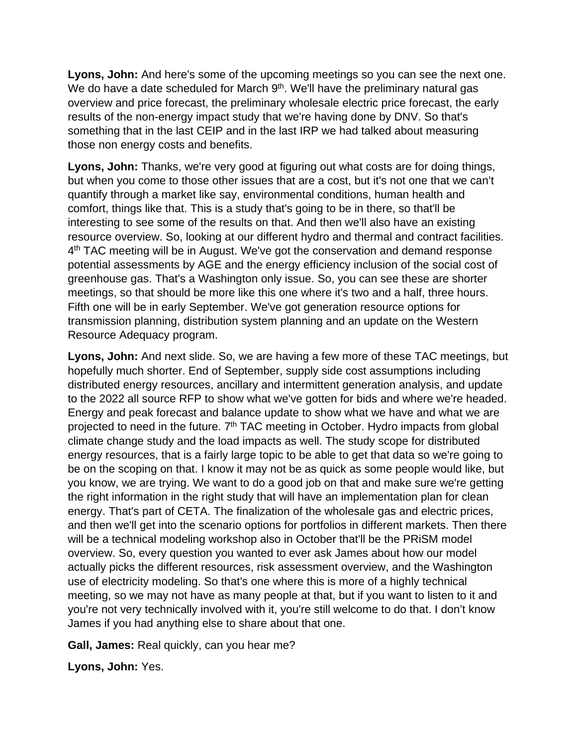**Lyons, John:** And here's some of the upcoming meetings so you can see the next one. We do have a date scheduled for March  $9<sup>th</sup>$ . We'll have the preliminary natural gas overview and price forecast, the preliminary wholesale electric price forecast, the early results of the non-energy impact study that we're having done by DNV. So that's something that in the last CEIP and in the last IRP we had talked about measuring those non energy costs and benefits.

**Lyons, John:** Thanks, we're very good at figuring out what costs are for doing things, but when you come to those other issues that are a cost, but it's not one that we can't quantify through a market like say, environmental conditions, human health and comfort, things like that. This is a study that's going to be in there, so that'll be interesting to see some of the results on that. And then we'll also have an existing resource overview. So, looking at our different hydro and thermal and contract facilities. 4<sup>th</sup> TAC meeting will be in August. We've got the conservation and demand response potential assessments by AGE and the energy efficiency inclusion of the social cost of greenhouse gas. That's a Washington only issue. So, you can see these are shorter meetings, so that should be more like this one where it's two and a half, three hours. Fifth one will be in early September. We've got generation resource options for transmission planning, distribution system planning and an update on the Western Resource Adequacy program.

**Lyons, John:** And next slide. So, we are having a few more of these TAC meetings, but hopefully much shorter. End of September, supply side cost assumptions including distributed energy resources, ancillary and intermittent generation analysis, and update to the 2022 all source RFP to show what we've gotten for bids and where we're headed. Energy and peak forecast and balance update to show what we have and what we are projected to need in the future.  $7<sup>th</sup> TAC$  meeting in October. Hydro impacts from global climate change study and the load impacts as well. The study scope for distributed energy resources, that is a fairly large topic to be able to get that data so we're going to be on the scoping on that. I know it may not be as quick as some people would like, but you know, we are trying. We want to do a good job on that and make sure we're getting the right information in the right study that will have an implementation plan for clean energy. That's part of CETA. The finalization of the wholesale gas and electric prices, and then we'll get into the scenario options for portfolios in different markets. Then there will be a technical modeling workshop also in October that'll be the PRiSM model overview. So, every question you wanted to ever ask James about how our model actually picks the different resources, risk assessment overview, and the Washington use of electricity modeling. So that's one where this is more of a highly technical meeting, so we may not have as many people at that, but if you want to listen to it and you're not very technically involved with it, you're still welcome to do that. I don't know James if you had anything else to share about that one.

**Gall, James:** Real quickly, can you hear me?

**Lyons, John:** Yes.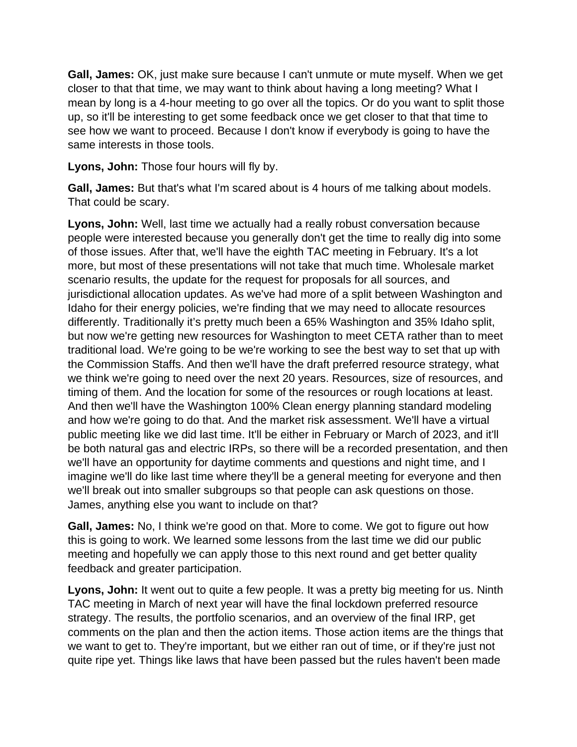**Gall, James:** OK, just make sure because I can't unmute or mute myself. When we get closer to that that time, we may want to think about having a long meeting? What I mean by long is a 4-hour meeting to go over all the topics. Or do you want to split those up, so it'll be interesting to get some feedback once we get closer to that that time to see how we want to proceed. Because I don't know if everybody is going to have the same interests in those tools.

**Lyons, John:** Those four hours will fly by.

**Gall, James:** But that's what I'm scared about is 4 hours of me talking about models. That could be scary.

**Lyons, John:** Well, last time we actually had a really robust conversation because people were interested because you generally don't get the time to really dig into some of those issues. After that, we'll have the eighth TAC meeting in February. It's a lot more, but most of these presentations will not take that much time. Wholesale market scenario results, the update for the request for proposals for all sources, and jurisdictional allocation updates. As we've had more of a split between Washington and Idaho for their energy policies, we're finding that we may need to allocate resources differently. Traditionally it's pretty much been a 65% Washington and 35% Idaho split, but now we're getting new resources for Washington to meet CETA rather than to meet traditional load. We're going to be we're working to see the best way to set that up with the Commission Staffs. And then we'll have the draft preferred resource strategy, what we think we're going to need over the next 20 years. Resources, size of resources, and timing of them. And the location for some of the resources or rough locations at least. And then we'll have the Washington 100% Clean energy planning standard modeling and how we're going to do that. And the market risk assessment. We'll have a virtual public meeting like we did last time. It'll be either in February or March of 2023, and it'll be both natural gas and electric IRPs, so there will be a recorded presentation, and then we'll have an opportunity for daytime comments and questions and night time, and I imagine we'll do like last time where they'll be a general meeting for everyone and then we'll break out into smaller subgroups so that people can ask questions on those. James, anything else you want to include on that?

**Gall, James:** No, I think we're good on that. More to come. We got to figure out how this is going to work. We learned some lessons from the last time we did our public meeting and hopefully we can apply those to this next round and get better quality feedback and greater participation.

**Lyons, John:** It went out to quite a few people. It was a pretty big meeting for us. Ninth TAC meeting in March of next year will have the final lockdown preferred resource strategy. The results, the portfolio scenarios, and an overview of the final IRP, get comments on the plan and then the action items. Those action items are the things that we want to get to. They're important, but we either ran out of time, or if they're just not quite ripe yet. Things like laws that have been passed but the rules haven't been made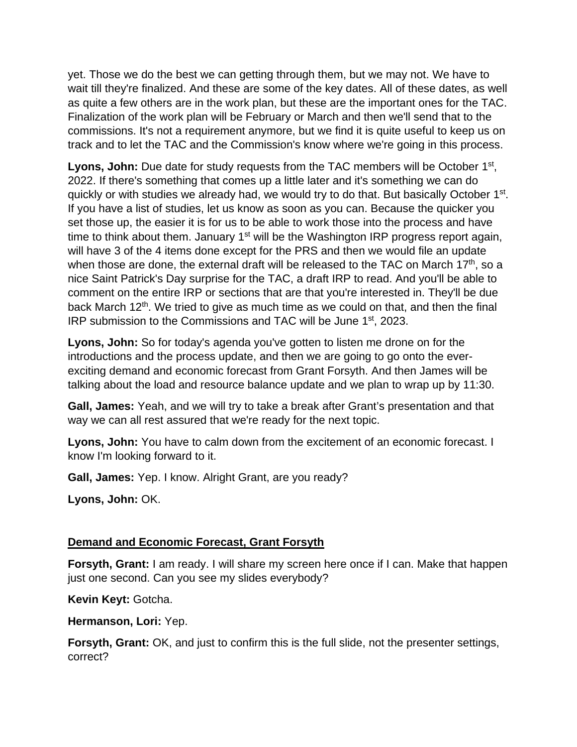yet. Those we do the best we can getting through them, but we may not. We have to wait till they're finalized. And these are some of the key dates. All of these dates, as well as quite a few others are in the work plan, but these are the important ones for the TAC. Finalization of the work plan will be February or March and then we'll send that to the commissions. It's not a requirement anymore, but we find it is quite useful to keep us on track and to let the TAC and the Commission's know where we're going in this process.

Lyons, John: Due date for study requests from the TAC members will be October 1<sup>st</sup>, 2022. If there's something that comes up a little later and it's something we can do quickly or with studies we already had, we would try to do that. But basically October 1<sup>st</sup>. If you have a list of studies, let us know as soon as you can. Because the quicker you set those up, the easier it is for us to be able to work those into the process and have time to think about them. January  $1<sup>st</sup>$  will be the Washington IRP progress report again, will have 3 of the 4 items done except for the PRS and then we would file an update when those are done, the external draft will be released to the TAC on March  $17<sup>th</sup>$ , so a nice Saint Patrick's Day surprise for the TAC, a draft IRP to read. And you'll be able to comment on the entire IRP or sections that are that you're interested in. They'll be due back March  $12<sup>th</sup>$ . We tried to give as much time as we could on that, and then the final IRP submission to the Commissions and TAC will be June 1st, 2023.

**Lyons, John:** So for today's agenda you've gotten to listen me drone on for the introductions and the process update, and then we are going to go onto the everexciting demand and economic forecast from Grant Forsyth. And then James will be talking about the load and resource balance update and we plan to wrap up by 11:30.

**Gall, James:** Yeah, and we will try to take a break after Grant's presentation and that way we can all rest assured that we're ready for the next topic.

**Lyons, John:** You have to calm down from the excitement of an economic forecast. I know I'm looking forward to it.

**Gall, James:** Yep. I know. Alright Grant, are you ready?

**Lyons, John:** OK.

## **Demand and Economic Forecast, Grant Forsyth**

**Forsyth, Grant:** I am ready. I will share my screen here once if I can. Make that happen just one second. Can you see my slides everybody?

**Kevin Keyt:** Gotcha.

**Hermanson, Lori:** Yep.

**Forsyth, Grant:** OK, and just to confirm this is the full slide, not the presenter settings, correct?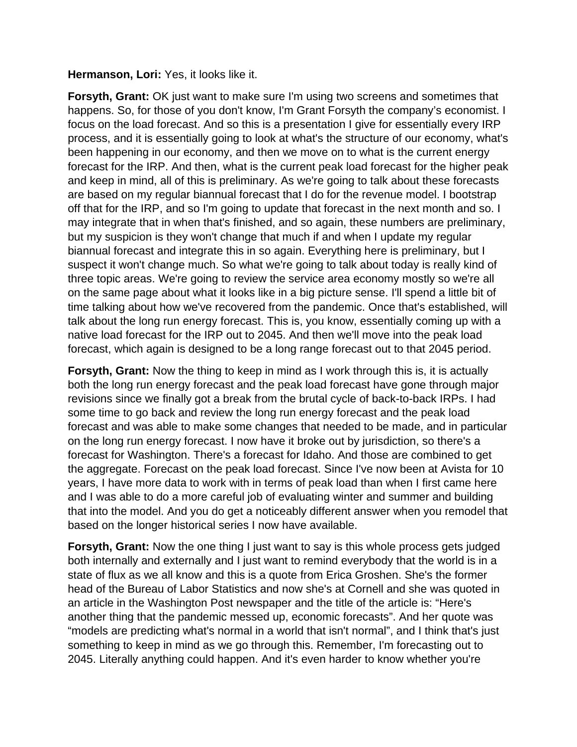**Hermanson, Lori:** Yes, it looks like it.

**Forsyth, Grant:** OK just want to make sure I'm using two screens and sometimes that happens. So, for those of you don't know, I'm Grant Forsyth the company's economist. I focus on the load forecast. And so this is a presentation I give for essentially every IRP process, and it is essentially going to look at what's the structure of our economy, what's been happening in our economy, and then we move on to what is the current energy forecast for the IRP. And then, what is the current peak load forecast for the higher peak and keep in mind, all of this is preliminary. As we're going to talk about these forecasts are based on my regular biannual forecast that I do for the revenue model. I bootstrap off that for the IRP, and so I'm going to update that forecast in the next month and so. I may integrate that in when that's finished, and so again, these numbers are preliminary, but my suspicion is they won't change that much if and when I update my regular biannual forecast and integrate this in so again. Everything here is preliminary, but I suspect it won't change much. So what we're going to talk about today is really kind of three topic areas. We're going to review the service area economy mostly so we're all on the same page about what it looks like in a big picture sense. I'll spend a little bit of time talking about how we've recovered from the pandemic. Once that's established, will talk about the long run energy forecast. This is, you know, essentially coming up with a native load forecast for the IRP out to 2045. And then we'll move into the peak load forecast, which again is designed to be a long range forecast out to that 2045 period.

**Forsyth, Grant:** Now the thing to keep in mind as I work through this is, it is actually both the long run energy forecast and the peak load forecast have gone through major revisions since we finally got a break from the brutal cycle of back-to-back IRPs. I had some time to go back and review the long run energy forecast and the peak load forecast and was able to make some changes that needed to be made, and in particular on the long run energy forecast. I now have it broke out by jurisdiction, so there's a forecast for Washington. There's a forecast for Idaho. And those are combined to get the aggregate. Forecast on the peak load forecast. Since I've now been at Avista for 10 years, I have more data to work with in terms of peak load than when I first came here and I was able to do a more careful job of evaluating winter and summer and building that into the model. And you do get a noticeably different answer when you remodel that based on the longer historical series I now have available.

**Forsyth, Grant:** Now the one thing I just want to say is this whole process gets judged both internally and externally and I just want to remind everybody that the world is in a state of flux as we all know and this is a quote from Erica Groshen. She's the former head of the Bureau of Labor Statistics and now she's at Cornell and she was quoted in an article in the Washington Post newspaper and the title of the article is: "Here's another thing that the pandemic messed up, economic forecasts". And her quote was "models are predicting what's normal in a world that isn't normal", and I think that's just something to keep in mind as we go through this. Remember, I'm forecasting out to 2045. Literally anything could happen. And it's even harder to know whether you're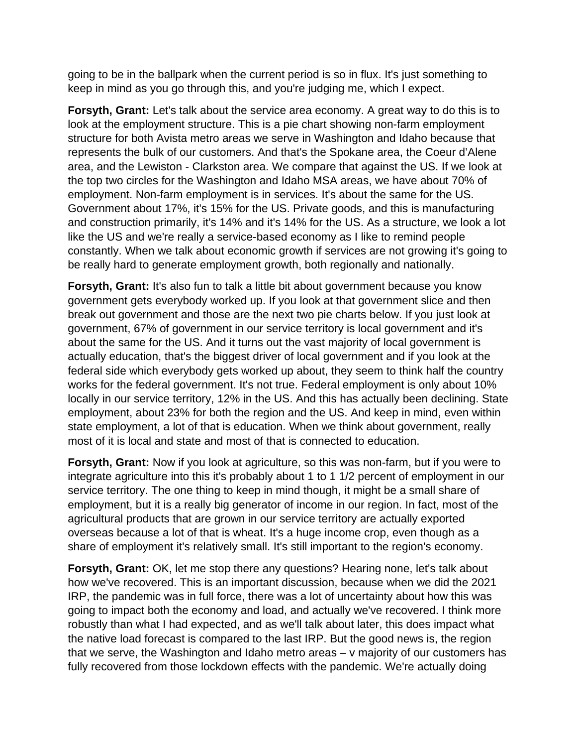going to be in the ballpark when the current period is so in flux. It's just something to keep in mind as you go through this, and you're judging me, which I expect.

**Forsyth, Grant:** Let's talk about the service area economy. A great way to do this is to look at the employment structure. This is a pie chart showing non-farm employment structure for both Avista metro areas we serve in Washington and Idaho because that represents the bulk of our customers. And that's the Spokane area, the Coeur d'Alene area, and the Lewiston - Clarkston area. We compare that against the US. If we look at the top two circles for the Washington and Idaho MSA areas, we have about 70% of employment. Non-farm employment is in services. It's about the same for the US. Government about 17%, it's 15% for the US. Private goods, and this is manufacturing and construction primarily, it's 14% and it's 14% for the US. As a structure, we look a lot like the US and we're really a service-based economy as I like to remind people constantly. When we talk about economic growth if services are not growing it's going to be really hard to generate employment growth, both regionally and nationally.

**Forsyth, Grant:** It's also fun to talk a little bit about government because you know government gets everybody worked up. If you look at that government slice and then break out government and those are the next two pie charts below. If you just look at government, 67% of government in our service territory is local government and it's about the same for the US. And it turns out the vast majority of local government is actually education, that's the biggest driver of local government and if you look at the federal side which everybody gets worked up about, they seem to think half the country works for the federal government. It's not true. Federal employment is only about 10% locally in our service territory, 12% in the US. And this has actually been declining. State employment, about 23% for both the region and the US. And keep in mind, even within state employment, a lot of that is education. When we think about government, really most of it is local and state and most of that is connected to education.

**Forsyth, Grant:** Now if you look at agriculture, so this was non-farm, but if you were to integrate agriculture into this it's probably about 1 to 1 1/2 percent of employment in our service territory. The one thing to keep in mind though, it might be a small share of employment, but it is a really big generator of income in our region. In fact, most of the agricultural products that are grown in our service territory are actually exported overseas because a lot of that is wheat. It's a huge income crop, even though as a share of employment it's relatively small. It's still important to the region's economy.

**Forsyth, Grant:** OK, let me stop there any questions? Hearing none, let's talk about how we've recovered. This is an important discussion, because when we did the 2021 IRP, the pandemic was in full force, there was a lot of uncertainty about how this was going to impact both the economy and load, and actually we've recovered. I think more robustly than what I had expected, and as we'll talk about later, this does impact what the native load forecast is compared to the last IRP. But the good news is, the region that we serve, the Washington and Idaho metro areas – v majority of our customers has fully recovered from those lockdown effects with the pandemic. We're actually doing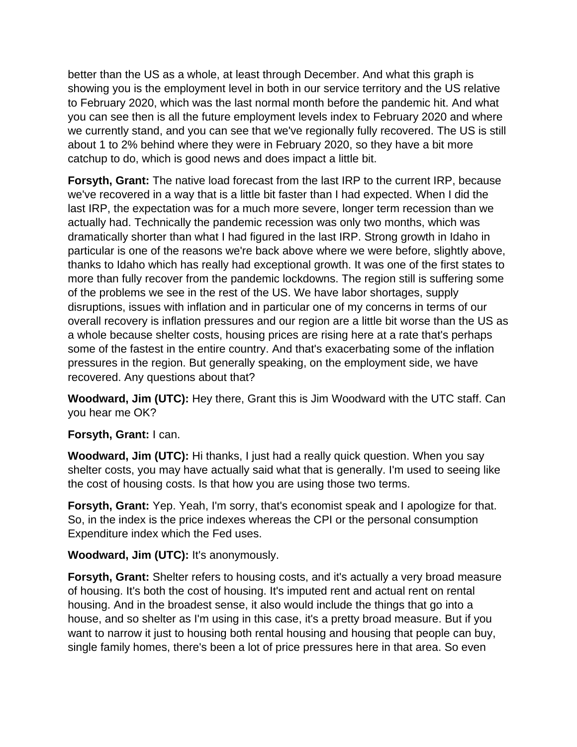better than the US as a whole, at least through December. And what this graph is showing you is the employment level in both in our service territory and the US relative to February 2020, which was the last normal month before the pandemic hit. And what you can see then is all the future employment levels index to February 2020 and where we currently stand, and you can see that we've regionally fully recovered. The US is still about 1 to 2% behind where they were in February 2020, so they have a bit more catchup to do, which is good news and does impact a little bit.

**Forsyth, Grant:** The native load forecast from the last IRP to the current IRP, because we've recovered in a way that is a little bit faster than I had expected. When I did the last IRP, the expectation was for a much more severe, longer term recession than we actually had. Technically the pandemic recession was only two months, which was dramatically shorter than what I had figured in the last IRP. Strong growth in Idaho in particular is one of the reasons we're back above where we were before, slightly above, thanks to Idaho which has really had exceptional growth. It was one of the first states to more than fully recover from the pandemic lockdowns. The region still is suffering some of the problems we see in the rest of the US. We have labor shortages, supply disruptions, issues with inflation and in particular one of my concerns in terms of our overall recovery is inflation pressures and our region are a little bit worse than the US as a whole because shelter costs, housing prices are rising here at a rate that's perhaps some of the fastest in the entire country. And that's exacerbating some of the inflation pressures in the region. But generally speaking, on the employment side, we have recovered. Any questions about that?

**Woodward, Jim (UTC):** Hey there, Grant this is Jim Woodward with the UTC staff. Can you hear me OK?

## **Forsyth, Grant:** I can.

**Woodward, Jim (UTC):** Hi thanks, I just had a really quick question. When you say shelter costs, you may have actually said what that is generally. I'm used to seeing like the cost of housing costs. Is that how you are using those two terms.

**Forsyth, Grant:** Yep. Yeah, I'm sorry, that's economist speak and I apologize for that. So, in the index is the price indexes whereas the CPI or the personal consumption Expenditure index which the Fed uses.

**Woodward, Jim (UTC):** It's anonymously.

**Forsyth, Grant:** Shelter refers to housing costs, and it's actually a very broad measure of housing. It's both the cost of housing. It's imputed rent and actual rent on rental housing. And in the broadest sense, it also would include the things that go into a house, and so shelter as I'm using in this case, it's a pretty broad measure. But if you want to narrow it just to housing both rental housing and housing that people can buy, single family homes, there's been a lot of price pressures here in that area. So even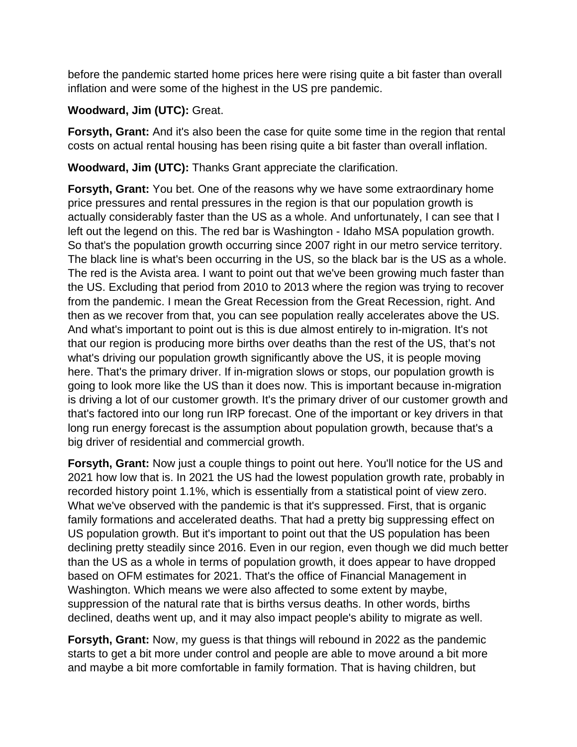before the pandemic started home prices here were rising quite a bit faster than overall inflation and were some of the highest in the US pre pandemic.

## **Woodward, Jim (UTC):** Great.

**Forsyth, Grant:** And it's also been the case for quite some time in the region that rental costs on actual rental housing has been rising quite a bit faster than overall inflation.

**Woodward, Jim (UTC):** Thanks Grant appreciate the clarification.

**Forsyth, Grant:** You bet. One of the reasons why we have some extraordinary home price pressures and rental pressures in the region is that our population growth is actually considerably faster than the US as a whole. And unfortunately, I can see that I left out the legend on this. The red bar is Washington - Idaho MSA population growth. So that's the population growth occurring since 2007 right in our metro service territory. The black line is what's been occurring in the US, so the black bar is the US as a whole. The red is the Avista area. I want to point out that we've been growing much faster than the US. Excluding that period from 2010 to 2013 where the region was trying to recover from the pandemic. I mean the Great Recession from the Great Recession, right. And then as we recover from that, you can see population really accelerates above the US. And what's important to point out is this is due almost entirely to in-migration. It's not that our region is producing more births over deaths than the rest of the US, that's not what's driving our population growth significantly above the US, it is people moving here. That's the primary driver. If in-migration slows or stops, our population growth is going to look more like the US than it does now. This is important because in-migration is driving a lot of our customer growth. It's the primary driver of our customer growth and that's factored into our long run IRP forecast. One of the important or key drivers in that long run energy forecast is the assumption about population growth, because that's a big driver of residential and commercial growth.

**Forsyth, Grant:** Now just a couple things to point out here. You'll notice for the US and 2021 how low that is. In 2021 the US had the lowest population growth rate, probably in recorded history point 1.1%, which is essentially from a statistical point of view zero. What we've observed with the pandemic is that it's suppressed. First, that is organic family formations and accelerated deaths. That had a pretty big suppressing effect on US population growth. But it's important to point out that the US population has been declining pretty steadily since 2016. Even in our region, even though we did much better than the US as a whole in terms of population growth, it does appear to have dropped based on OFM estimates for 2021. That's the office of Financial Management in Washington. Which means we were also affected to some extent by maybe, suppression of the natural rate that is births versus deaths. In other words, births declined, deaths went up, and it may also impact people's ability to migrate as well.

**Forsyth, Grant:** Now, my guess is that things will rebound in 2022 as the pandemic starts to get a bit more under control and people are able to move around a bit more and maybe a bit more comfortable in family formation. That is having children, but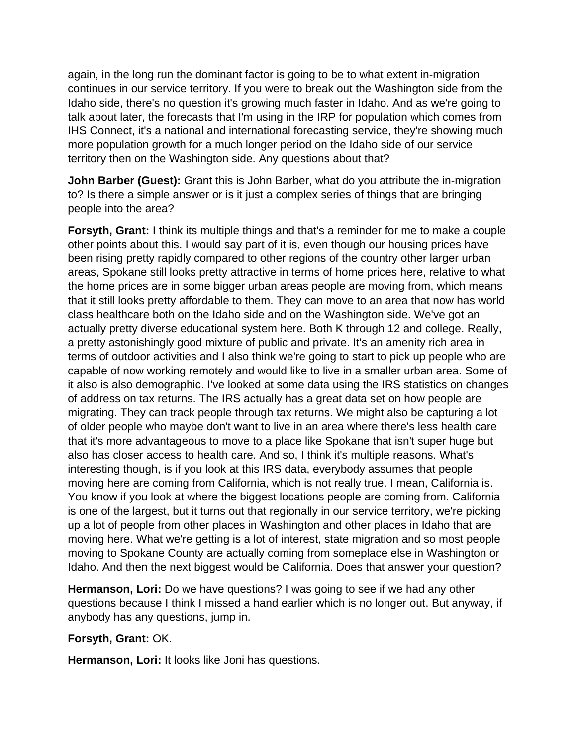again, in the long run the dominant factor is going to be to what extent in-migration continues in our service territory. If you were to break out the Washington side from the Idaho side, there's no question it's growing much faster in Idaho. And as we're going to talk about later, the forecasts that I'm using in the IRP for population which comes from IHS Connect, it's a national and international forecasting service, they're showing much more population growth for a much longer period on the Idaho side of our service territory then on the Washington side. Any questions about that?

**John Barber (Guest):** Grant this is John Barber, what do you attribute the in-migration to? Is there a simple answer or is it just a complex series of things that are bringing people into the area?

**Forsyth, Grant:** I think its multiple things and that's a reminder for me to make a couple other points about this. I would say part of it is, even though our housing prices have been rising pretty rapidly compared to other regions of the country other larger urban areas, Spokane still looks pretty attractive in terms of home prices here, relative to what the home prices are in some bigger urban areas people are moving from, which means that it still looks pretty affordable to them. They can move to an area that now has world class healthcare both on the Idaho side and on the Washington side. We've got an actually pretty diverse educational system here. Both K through 12 and college. Really, a pretty astonishingly good mixture of public and private. It's an amenity rich area in terms of outdoor activities and I also think we're going to start to pick up people who are capable of now working remotely and would like to live in a smaller urban area. Some of it also is also demographic. I've looked at some data using the IRS statistics on changes of address on tax returns. The IRS actually has a great data set on how people are migrating. They can track people through tax returns. We might also be capturing a lot of older people who maybe don't want to live in an area where there's less health care that it's more advantageous to move to a place like Spokane that isn't super huge but also has closer access to health care. And so, I think it's multiple reasons. What's interesting though, is if you look at this IRS data, everybody assumes that people moving here are coming from California, which is not really true. I mean, California is. You know if you look at where the biggest locations people are coming from. California is one of the largest, but it turns out that regionally in our service territory, we're picking up a lot of people from other places in Washington and other places in Idaho that are moving here. What we're getting is a lot of interest, state migration and so most people moving to Spokane County are actually coming from someplace else in Washington or Idaho. And then the next biggest would be California. Does that answer your question?

**Hermanson, Lori:** Do we have questions? I was going to see if we had any other questions because I think I missed a hand earlier which is no longer out. But anyway, if anybody has any questions, jump in.

### **Forsyth, Grant:** OK.

**Hermanson, Lori:** It looks like Joni has questions.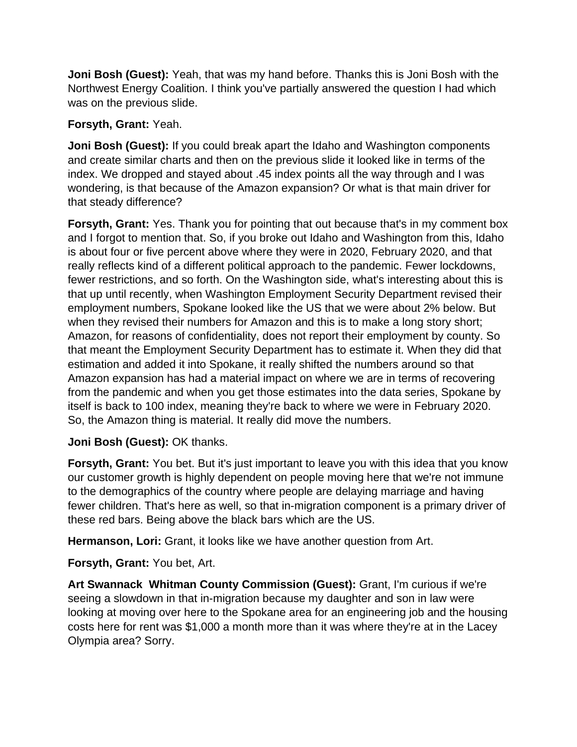**Joni Bosh (Guest):** Yeah, that was my hand before. Thanks this is Joni Bosh with the Northwest Energy Coalition. I think you've partially answered the question I had which was on the previous slide.

### **Forsyth, Grant:** Yeah.

**Joni Bosh (Guest):** If you could break apart the Idaho and Washington components and create similar charts and then on the previous slide it looked like in terms of the index. We dropped and stayed about .45 index points all the way through and I was wondering, is that because of the Amazon expansion? Or what is that main driver for that steady difference?

**Forsyth, Grant:** Yes. Thank you for pointing that out because that's in my comment box and I forgot to mention that. So, if you broke out Idaho and Washington from this, Idaho is about four or five percent above where they were in 2020, February 2020, and that really reflects kind of a different political approach to the pandemic. Fewer lockdowns, fewer restrictions, and so forth. On the Washington side, what's interesting about this is that up until recently, when Washington Employment Security Department revised their employment numbers, Spokane looked like the US that we were about 2% below. But when they revised their numbers for Amazon and this is to make a long story short; Amazon, for reasons of confidentiality, does not report their employment by county. So that meant the Employment Security Department has to estimate it. When they did that estimation and added it into Spokane, it really shifted the numbers around so that Amazon expansion has had a material impact on where we are in terms of recovering from the pandemic and when you get those estimates into the data series, Spokane by itself is back to 100 index, meaning they're back to where we were in February 2020. So, the Amazon thing is material. It really did move the numbers.

## **Joni Bosh (Guest):** OK thanks.

**Forsyth, Grant:** You bet. But it's just important to leave you with this idea that you know our customer growth is highly dependent on people moving here that we're not immune to the demographics of the country where people are delaying marriage and having fewer children. That's here as well, so that in-migration component is a primary driver of these red bars. Being above the black bars which are the US.

**Hermanson, Lori:** Grant, it looks like we have another question from Art.

**Forsyth, Grant:** You bet, Art.

**Art Swannack Whitman County Commission (Guest):** Grant, I'm curious if we're seeing a slowdown in that in-migration because my daughter and son in law were looking at moving over here to the Spokane area for an engineering job and the housing costs here for rent was \$1,000 a month more than it was where they're at in the Lacey Olympia area? Sorry.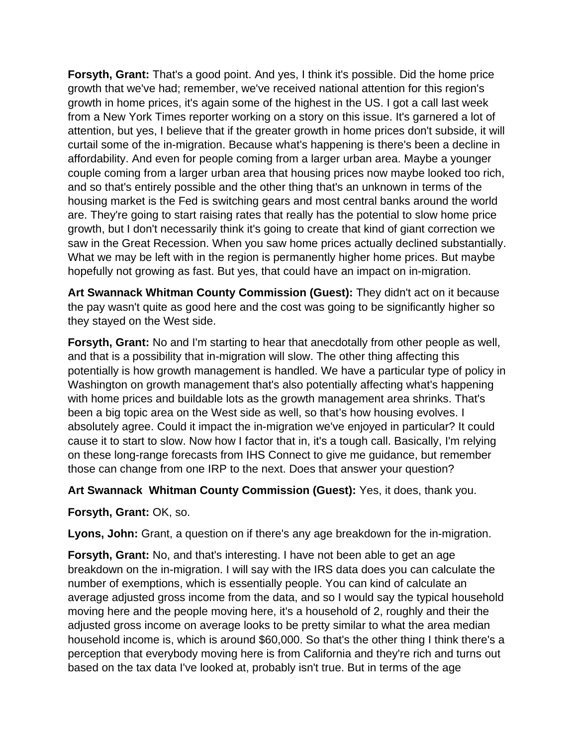**Forsyth, Grant:** That's a good point. And yes, I think it's possible. Did the home price growth that we've had; remember, we've received national attention for this region's growth in home prices, it's again some of the highest in the US. I got a call last week from a New York Times reporter working on a story on this issue. It's garnered a lot of attention, but yes, I believe that if the greater growth in home prices don't subside, it will curtail some of the in-migration. Because what's happening is there's been a decline in affordability. And even for people coming from a larger urban area. Maybe a younger couple coming from a larger urban area that housing prices now maybe looked too rich, and so that's entirely possible and the other thing that's an unknown in terms of the housing market is the Fed is switching gears and most central banks around the world are. They're going to start raising rates that really has the potential to slow home price growth, but I don't necessarily think it's going to create that kind of giant correction we saw in the Great Recession. When you saw home prices actually declined substantially. What we may be left with in the region is permanently higher home prices. But maybe hopefully not growing as fast. But yes, that could have an impact on in-migration.

**Art Swannack Whitman County Commission (Guest):** They didn't act on it because the pay wasn't quite as good here and the cost was going to be significantly higher so they stayed on the West side.

**Forsyth, Grant:** No and I'm starting to hear that anecdotally from other people as well, and that is a possibility that in-migration will slow. The other thing affecting this potentially is how growth management is handled. We have a particular type of policy in Washington on growth management that's also potentially affecting what's happening with home prices and buildable lots as the growth management area shrinks. That's been a big topic area on the West side as well, so that's how housing evolves. I absolutely agree. Could it impact the in-migration we've enjoyed in particular? It could cause it to start to slow. Now how I factor that in, it's a tough call. Basically, I'm relying on these long-range forecasts from IHS Connect to give me guidance, but remember those can change from one IRP to the next. Does that answer your question?

**Art Swannack Whitman County Commission (Guest):** Yes, it does, thank you.

**Forsyth, Grant:** OK, so.

**Lyons, John:** Grant, a question on if there's any age breakdown for the in-migration.

**Forsyth, Grant:** No, and that's interesting. I have not been able to get an age breakdown on the in-migration. I will say with the IRS data does you can calculate the number of exemptions, which is essentially people. You can kind of calculate an average adjusted gross income from the data, and so I would say the typical household moving here and the people moving here, it's a household of 2, roughly and their the adjusted gross income on average looks to be pretty similar to what the area median household income is, which is around \$60,000. So that's the other thing I think there's a perception that everybody moving here is from California and they're rich and turns out based on the tax data I've looked at, probably isn't true. But in terms of the age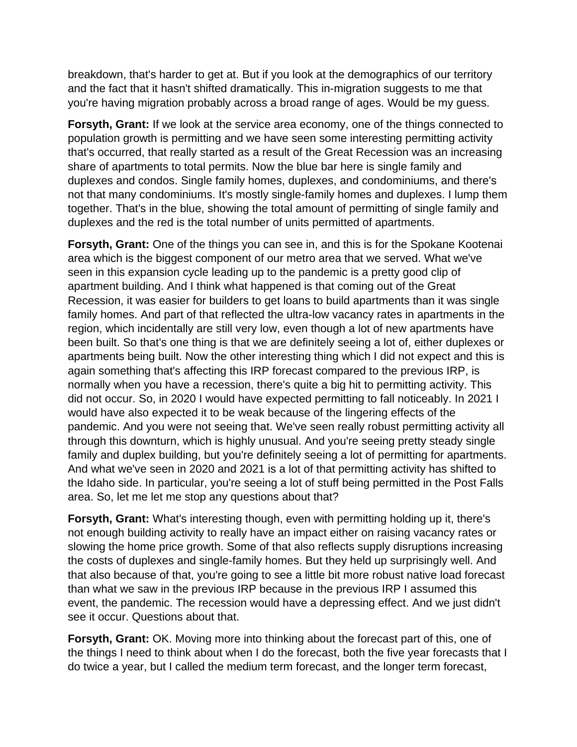breakdown, that's harder to get at. But if you look at the demographics of our territory and the fact that it hasn't shifted dramatically. This in-migration suggests to me that you're having migration probably across a broad range of ages. Would be my guess.

**Forsyth, Grant:** If we look at the service area economy, one of the things connected to population growth is permitting and we have seen some interesting permitting activity that's occurred, that really started as a result of the Great Recession was an increasing share of apartments to total permits. Now the blue bar here is single family and duplexes and condos. Single family homes, duplexes, and condominiums, and there's not that many condominiums. It's mostly single-family homes and duplexes. I lump them together. That's in the blue, showing the total amount of permitting of single family and duplexes and the red is the total number of units permitted of apartments.

**Forsyth, Grant:** One of the things you can see in, and this is for the Spokane Kootenai area which is the biggest component of our metro area that we served. What we've seen in this expansion cycle leading up to the pandemic is a pretty good clip of apartment building. And I think what happened is that coming out of the Great Recession, it was easier for builders to get loans to build apartments than it was single family homes. And part of that reflected the ultra-low vacancy rates in apartments in the region, which incidentally are still very low, even though a lot of new apartments have been built. So that's one thing is that we are definitely seeing a lot of, either duplexes or apartments being built. Now the other interesting thing which I did not expect and this is again something that's affecting this IRP forecast compared to the previous IRP, is normally when you have a recession, there's quite a big hit to permitting activity. This did not occur. So, in 2020 I would have expected permitting to fall noticeably. In 2021 I would have also expected it to be weak because of the lingering effects of the pandemic. And you were not seeing that. We've seen really robust permitting activity all through this downturn, which is highly unusual. And you're seeing pretty steady single family and duplex building, but you're definitely seeing a lot of permitting for apartments. And what we've seen in 2020 and 2021 is a lot of that permitting activity has shifted to the Idaho side. In particular, you're seeing a lot of stuff being permitted in the Post Falls area. So, let me let me stop any questions about that?

**Forsyth, Grant:** What's interesting though, even with permitting holding up it, there's not enough building activity to really have an impact either on raising vacancy rates or slowing the home price growth. Some of that also reflects supply disruptions increasing the costs of duplexes and single-family homes. But they held up surprisingly well. And that also because of that, you're going to see a little bit more robust native load forecast than what we saw in the previous IRP because in the previous IRP I assumed this event, the pandemic. The recession would have a depressing effect. And we just didn't see it occur. Questions about that.

**Forsyth, Grant:** OK. Moving more into thinking about the forecast part of this, one of the things I need to think about when I do the forecast, both the five year forecasts that I do twice a year, but I called the medium term forecast, and the longer term forecast,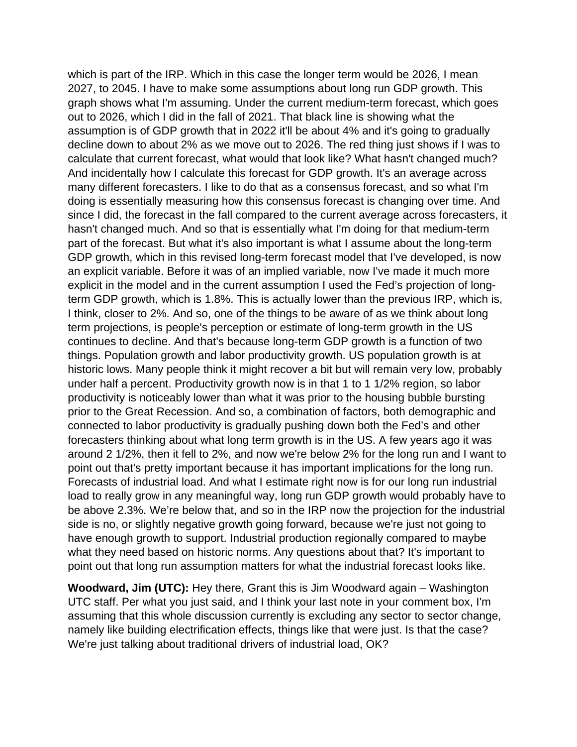which is part of the IRP. Which in this case the longer term would be 2026, I mean 2027, to 2045. I have to make some assumptions about long run GDP growth. This graph shows what I'm assuming. Under the current medium-term forecast, which goes out to 2026, which I did in the fall of 2021. That black line is showing what the assumption is of GDP growth that in 2022 it'll be about 4% and it's going to gradually decline down to about 2% as we move out to 2026. The red thing just shows if I was to calculate that current forecast, what would that look like? What hasn't changed much? And incidentally how I calculate this forecast for GDP growth. It's an average across many different forecasters. I like to do that as a consensus forecast, and so what I'm doing is essentially measuring how this consensus forecast is changing over time. And since I did, the forecast in the fall compared to the current average across forecasters, it hasn't changed much. And so that is essentially what I'm doing for that medium-term part of the forecast. But what it's also important is what I assume about the long-term GDP growth, which in this revised long-term forecast model that I've developed, is now an explicit variable. Before it was of an implied variable, now I've made it much more explicit in the model and in the current assumption I used the Fed's projection of longterm GDP growth, which is 1.8%. This is actually lower than the previous IRP, which is, I think, closer to 2%. And so, one of the things to be aware of as we think about long term projections, is people's perception or estimate of long-term growth in the US continues to decline. And that's because long-term GDP growth is a function of two things. Population growth and labor productivity growth. US population growth is at historic lows. Many people think it might recover a bit but will remain very low, probably under half a percent. Productivity growth now is in that 1 to 1 1/2% region, so labor productivity is noticeably lower than what it was prior to the housing bubble bursting prior to the Great Recession. And so, a combination of factors, both demographic and connected to labor productivity is gradually pushing down both the Fed's and other forecasters thinking about what long term growth is in the US. A few years ago it was around 2 1/2%, then it fell to 2%, and now we're below 2% for the long run and I want to point out that's pretty important because it has important implications for the long run. Forecasts of industrial load. And what I estimate right now is for our long run industrial load to really grow in any meaningful way, long run GDP growth would probably have to be above 2.3%. We're below that, and so in the IRP now the projection for the industrial side is no, or slightly negative growth going forward, because we're just not going to have enough growth to support. Industrial production regionally compared to maybe what they need based on historic norms. Any questions about that? It's important to point out that long run assumption matters for what the industrial forecast looks like.

**Woodward, Jim (UTC):** Hey there, Grant this is Jim Woodward again – Washington UTC staff. Per what you just said, and I think your last note in your comment box, I'm assuming that this whole discussion currently is excluding any sector to sector change, namely like building electrification effects, things like that were just. Is that the case? We're just talking about traditional drivers of industrial load, OK?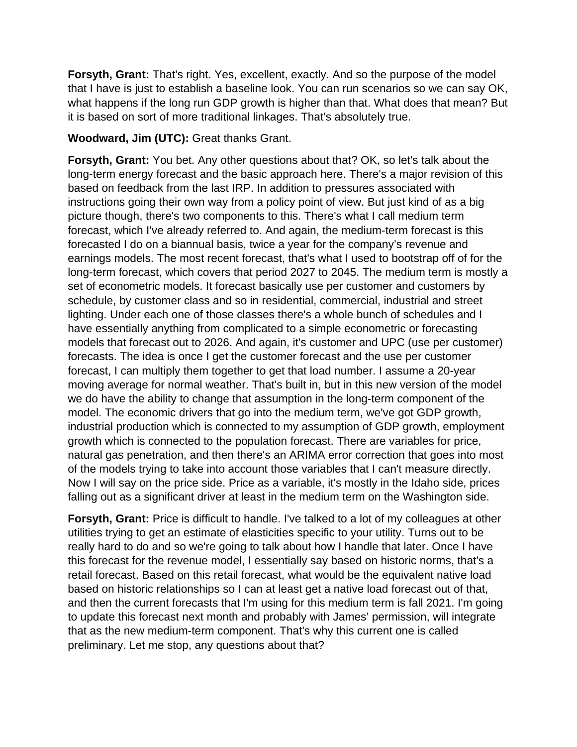**Forsyth, Grant:** That's right. Yes, excellent, exactly. And so the purpose of the model that I have is just to establish a baseline look. You can run scenarios so we can say OK, what happens if the long run GDP growth is higher than that. What does that mean? But it is based on sort of more traditional linkages. That's absolutely true.

**Woodward, Jim (UTC):** Great thanks Grant.

**Forsyth, Grant:** You bet. Any other questions about that? OK, so let's talk about the long-term energy forecast and the basic approach here. There's a major revision of this based on feedback from the last IRP. In addition to pressures associated with instructions going their own way from a policy point of view. But just kind of as a big picture though, there's two components to this. There's what I call medium term forecast, which I've already referred to. And again, the medium-term forecast is this forecasted I do on a biannual basis, twice a year for the company's revenue and earnings models. The most recent forecast, that's what I used to bootstrap off of for the long-term forecast, which covers that period 2027 to 2045. The medium term is mostly a set of econometric models. It forecast basically use per customer and customers by schedule, by customer class and so in residential, commercial, industrial and street lighting. Under each one of those classes there's a whole bunch of schedules and I have essentially anything from complicated to a simple econometric or forecasting models that forecast out to 2026. And again, it's customer and UPC (use per customer) forecasts. The idea is once I get the customer forecast and the use per customer forecast, I can multiply them together to get that load number. I assume a 20-year moving average for normal weather. That's built in, but in this new version of the model we do have the ability to change that assumption in the long-term component of the model. The economic drivers that go into the medium term, we've got GDP growth, industrial production which is connected to my assumption of GDP growth, employment growth which is connected to the population forecast. There are variables for price, natural gas penetration, and then there's an ARIMA error correction that goes into most of the models trying to take into account those variables that I can't measure directly. Now I will say on the price side. Price as a variable, it's mostly in the Idaho side, prices falling out as a significant driver at least in the medium term on the Washington side.

**Forsyth, Grant:** Price is difficult to handle. I've talked to a lot of my colleagues at other utilities trying to get an estimate of elasticities specific to your utility. Turns out to be really hard to do and so we're going to talk about how I handle that later. Once I have this forecast for the revenue model, I essentially say based on historic norms, that's a retail forecast. Based on this retail forecast, what would be the equivalent native load based on historic relationships so I can at least get a native load forecast out of that, and then the current forecasts that I'm using for this medium term is fall 2021. I'm going to update this forecast next month and probably with James' permission, will integrate that as the new medium-term component. That's why this current one is called preliminary. Let me stop, any questions about that?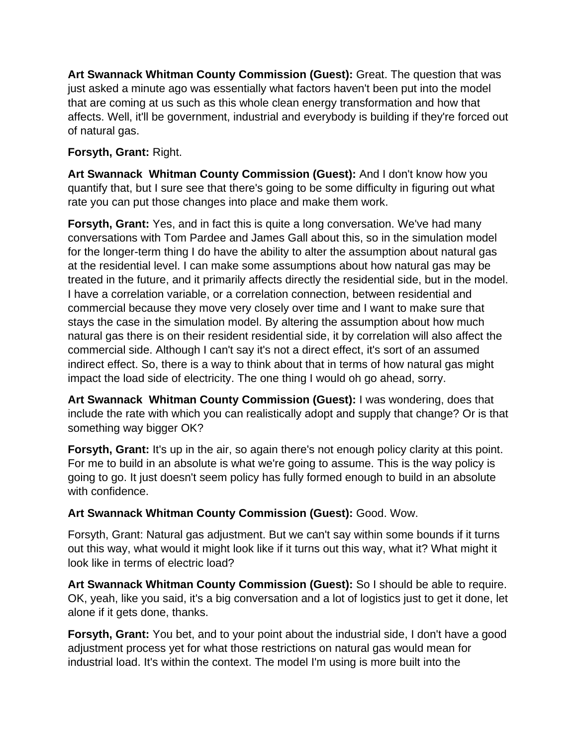**Art Swannack Whitman County Commission (Guest):** Great. The question that was just asked a minute ago was essentially what factors haven't been put into the model that are coming at us such as this whole clean energy transformation and how that affects. Well, it'll be government, industrial and everybody is building if they're forced out of natural gas.

## **Forsyth, Grant:** Right.

**Art Swannack Whitman County Commission (Guest):** And I don't know how you quantify that, but I sure see that there's going to be some difficulty in figuring out what rate you can put those changes into place and make them work.

**Forsyth, Grant:** Yes, and in fact this is quite a long conversation. We've had many conversations with Tom Pardee and James Gall about this, so in the simulation model for the longer-term thing I do have the ability to alter the assumption about natural gas at the residential level. I can make some assumptions about how natural gas may be treated in the future, and it primarily affects directly the residential side, but in the model. I have a correlation variable, or a correlation connection, between residential and commercial because they move very closely over time and I want to make sure that stays the case in the simulation model. By altering the assumption about how much natural gas there is on their resident residential side, it by correlation will also affect the commercial side. Although I can't say it's not a direct effect, it's sort of an assumed indirect effect. So, there is a way to think about that in terms of how natural gas might impact the load side of electricity. The one thing I would oh go ahead, sorry.

**Art Swannack Whitman County Commission (Guest):** I was wondering, does that include the rate with which you can realistically adopt and supply that change? Or is that something way bigger OK?

**Forsyth, Grant:** It's up in the air, so again there's not enough policy clarity at this point. For me to build in an absolute is what we're going to assume. This is the way policy is going to go. It just doesn't seem policy has fully formed enough to build in an absolute with confidence.

# **Art Swannack Whitman County Commission (Guest):** Good. Wow.

Forsyth, Grant: Natural gas adjustment. But we can't say within some bounds if it turns out this way, what would it might look like if it turns out this way, what it? What might it look like in terms of electric load?

**Art Swannack Whitman County Commission (Guest):** So I should be able to require. OK, yeah, like you said, it's a big conversation and a lot of logistics just to get it done, let alone if it gets done, thanks.

**Forsyth, Grant:** You bet, and to your point about the industrial side, I don't have a good adjustment process yet for what those restrictions on natural gas would mean for industrial load. It's within the context. The model I'm using is more built into the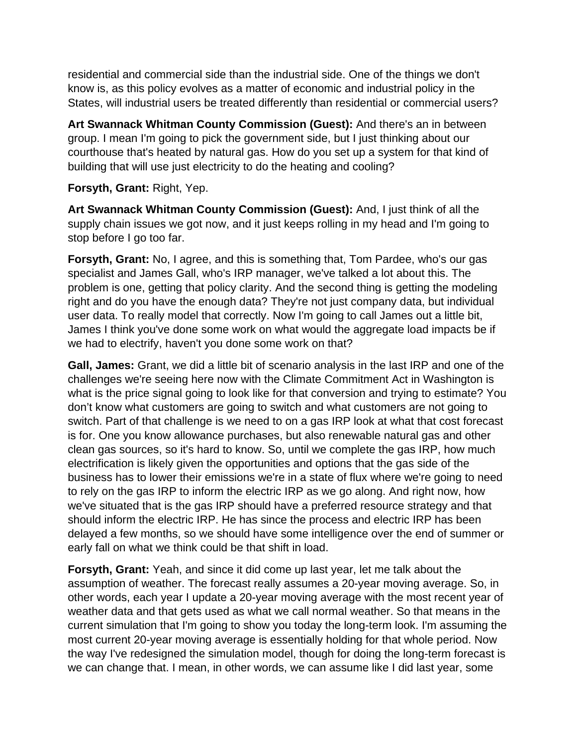residential and commercial side than the industrial side. One of the things we don't know is, as this policy evolves as a matter of economic and industrial policy in the States, will industrial users be treated differently than residential or commercial users?

**Art Swannack Whitman County Commission (Guest):** And there's an in between group. I mean I'm going to pick the government side, but I just thinking about our courthouse that's heated by natural gas. How do you set up a system for that kind of building that will use just electricity to do the heating and cooling?

**Forsyth, Grant:** Right, Yep.

**Art Swannack Whitman County Commission (Guest):** And, I just think of all the supply chain issues we got now, and it just keeps rolling in my head and I'm going to stop before I go too far.

**Forsyth, Grant:** No, I agree, and this is something that, Tom Pardee, who's our gas specialist and James Gall, who's IRP manager, we've talked a lot about this. The problem is one, getting that policy clarity. And the second thing is getting the modeling right and do you have the enough data? They're not just company data, but individual user data. To really model that correctly. Now I'm going to call James out a little bit, James I think you've done some work on what would the aggregate load impacts be if we had to electrify, haven't you done some work on that?

**Gall, James:** Grant, we did a little bit of scenario analysis in the last IRP and one of the challenges we're seeing here now with the Climate Commitment Act in Washington is what is the price signal going to look like for that conversion and trying to estimate? You don't know what customers are going to switch and what customers are not going to switch. Part of that challenge is we need to on a gas IRP look at what that cost forecast is for. One you know allowance purchases, but also renewable natural gas and other clean gas sources, so it's hard to know. So, until we complete the gas IRP, how much electrification is likely given the opportunities and options that the gas side of the business has to lower their emissions we're in a state of flux where we're going to need to rely on the gas IRP to inform the electric IRP as we go along. And right now, how we've situated that is the gas IRP should have a preferred resource strategy and that should inform the electric IRP. He has since the process and electric IRP has been delayed a few months, so we should have some intelligence over the end of summer or early fall on what we think could be that shift in load.

**Forsyth, Grant:** Yeah, and since it did come up last year, let me talk about the assumption of weather. The forecast really assumes a 20-year moving average. So, in other words, each year I update a 20-year moving average with the most recent year of weather data and that gets used as what we call normal weather. So that means in the current simulation that I'm going to show you today the long-term look. I'm assuming the most current 20-year moving average is essentially holding for that whole period. Now the way I've redesigned the simulation model, though for doing the long-term forecast is we can change that. I mean, in other words, we can assume like I did last year, some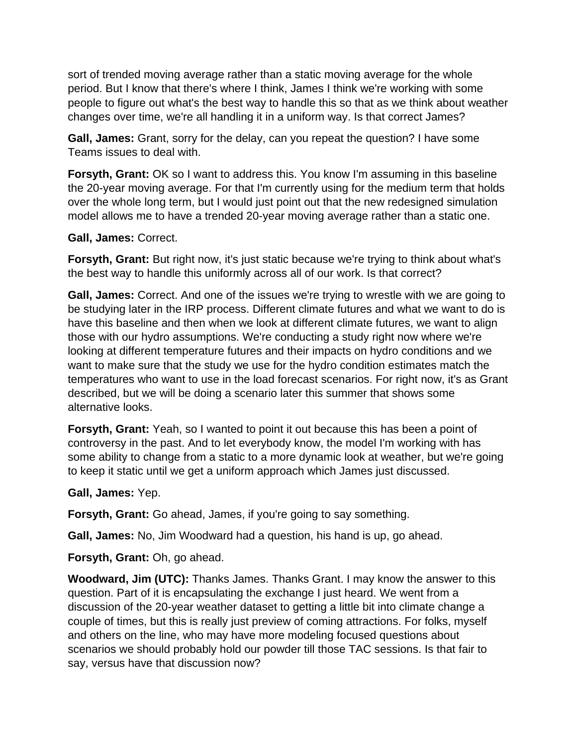sort of trended moving average rather than a static moving average for the whole period. But I know that there's where I think, James I think we're working with some people to figure out what's the best way to handle this so that as we think about weather changes over time, we're all handling it in a uniform way. Is that correct James?

**Gall, James:** Grant, sorry for the delay, can you repeat the question? I have some Teams issues to deal with.

**Forsyth, Grant:** OK so I want to address this. You know I'm assuming in this baseline the 20-year moving average. For that I'm currently using for the medium term that holds over the whole long term, but I would just point out that the new redesigned simulation model allows me to have a trended 20-year moving average rather than a static one.

### **Gall, James:** Correct.

**Forsyth, Grant:** But right now, it's just static because we're trying to think about what's the best way to handle this uniformly across all of our work. Is that correct?

**Gall, James:** Correct. And one of the issues we're trying to wrestle with we are going to be studying later in the IRP process. Different climate futures and what we want to do is have this baseline and then when we look at different climate futures, we want to align those with our hydro assumptions. We're conducting a study right now where we're looking at different temperature futures and their impacts on hydro conditions and we want to make sure that the study we use for the hydro condition estimates match the temperatures who want to use in the load forecast scenarios. For right now, it's as Grant described, but we will be doing a scenario later this summer that shows some alternative looks.

**Forsyth, Grant:** Yeah, so I wanted to point it out because this has been a point of controversy in the past. And to let everybody know, the model I'm working with has some ability to change from a static to a more dynamic look at weather, but we're going to keep it static until we get a uniform approach which James just discussed.

**Gall, James:** Yep.

**Forsyth, Grant:** Go ahead, James, if you're going to say something.

**Gall, James:** No, Jim Woodward had a question, his hand is up, go ahead.

**Forsyth, Grant:** Oh, go ahead.

**Woodward, Jim (UTC):** Thanks James. Thanks Grant. I may know the answer to this question. Part of it is encapsulating the exchange I just heard. We went from a discussion of the 20-year weather dataset to getting a little bit into climate change a couple of times, but this is really just preview of coming attractions. For folks, myself and others on the line, who may have more modeling focused questions about scenarios we should probably hold our powder till those TAC sessions. Is that fair to say, versus have that discussion now?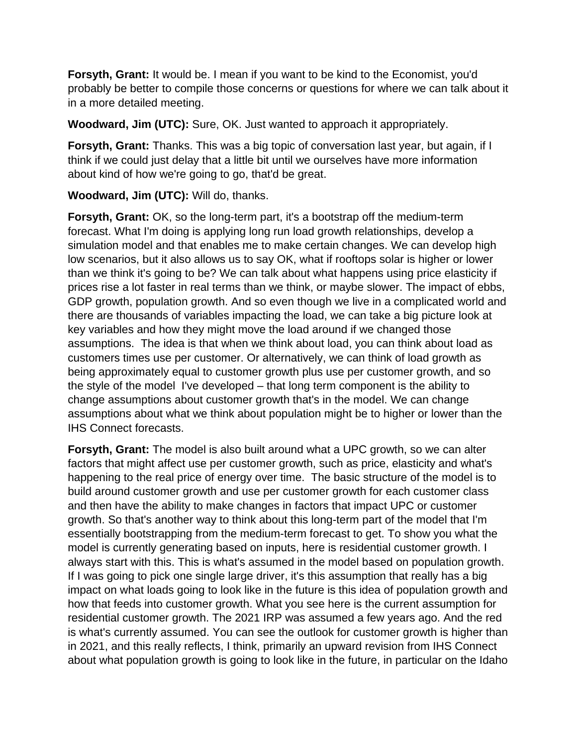**Forsyth, Grant:** It would be. I mean if you want to be kind to the Economist, you'd probably be better to compile those concerns or questions for where we can talk about it in a more detailed meeting.

**Woodward, Jim (UTC):** Sure, OK. Just wanted to approach it appropriately.

**Forsyth, Grant:** Thanks. This was a big topic of conversation last year, but again, if I think if we could just delay that a little bit until we ourselves have more information about kind of how we're going to go, that'd be great.

**Woodward, Jim (UTC):** Will do, thanks.

**Forsyth, Grant:** OK, so the long-term part, it's a bootstrap off the medium-term forecast. What I'm doing is applying long run load growth relationships, develop a simulation model and that enables me to make certain changes. We can develop high low scenarios, but it also allows us to say OK, what if rooftops solar is higher or lower than we think it's going to be? We can talk about what happens using price elasticity if prices rise a lot faster in real terms than we think, or maybe slower. The impact of ebbs, GDP growth, population growth. And so even though we live in a complicated world and there are thousands of variables impacting the load, we can take a big picture look at key variables and how they might move the load around if we changed those assumptions. The idea is that when we think about load, you can think about load as customers times use per customer. Or alternatively, we can think of load growth as being approximately equal to customer growth plus use per customer growth, and so the style of the model I've developed – that long term component is the ability to change assumptions about customer growth that's in the model. We can change assumptions about what we think about population might be to higher or lower than the IHS Connect forecasts.

**Forsyth, Grant:** The model is also built around what a UPC growth, so we can alter factors that might affect use per customer growth, such as price, elasticity and what's happening to the real price of energy over time. The basic structure of the model is to build around customer growth and use per customer growth for each customer class and then have the ability to make changes in factors that impact UPC or customer growth. So that's another way to think about this long-term part of the model that I'm essentially bootstrapping from the medium-term forecast to get. To show you what the model is currently generating based on inputs, here is residential customer growth. I always start with this. This is what's assumed in the model based on population growth. If I was going to pick one single large driver, it's this assumption that really has a big impact on what loads going to look like in the future is this idea of population growth and how that feeds into customer growth. What you see here is the current assumption for residential customer growth. The 2021 IRP was assumed a few years ago. And the red is what's currently assumed. You can see the outlook for customer growth is higher than in 2021, and this really reflects, I think, primarily an upward revision from IHS Connect about what population growth is going to look like in the future, in particular on the Idaho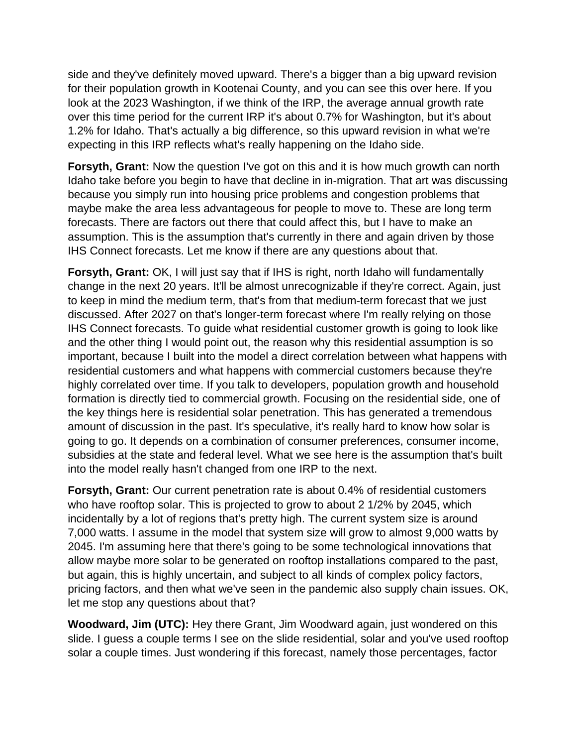side and they've definitely moved upward. There's a bigger than a big upward revision for their population growth in Kootenai County, and you can see this over here. If you look at the 2023 Washington, if we think of the IRP, the average annual growth rate over this time period for the current IRP it's about 0.7% for Washington, but it's about 1.2% for Idaho. That's actually a big difference, so this upward revision in what we're expecting in this IRP reflects what's really happening on the Idaho side.

**Forsyth, Grant:** Now the question I've got on this and it is how much growth can north Idaho take before you begin to have that decline in in-migration. That art was discussing because you simply run into housing price problems and congestion problems that maybe make the area less advantageous for people to move to. These are long term forecasts. There are factors out there that could affect this, but I have to make an assumption. This is the assumption that's currently in there and again driven by those IHS Connect forecasts. Let me know if there are any questions about that.

**Forsyth, Grant:** OK, I will just say that if IHS is right, north Idaho will fundamentally change in the next 20 years. It'll be almost unrecognizable if they're correct. Again, just to keep in mind the medium term, that's from that medium-term forecast that we just discussed. After 2027 on that's longer-term forecast where I'm really relying on those IHS Connect forecasts. To guide what residential customer growth is going to look like and the other thing I would point out, the reason why this residential assumption is so important, because I built into the model a direct correlation between what happens with residential customers and what happens with commercial customers because they're highly correlated over time. If you talk to developers, population growth and household formation is directly tied to commercial growth. Focusing on the residential side, one of the key things here is residential solar penetration. This has generated a tremendous amount of discussion in the past. It's speculative, it's really hard to know how solar is going to go. It depends on a combination of consumer preferences, consumer income, subsidies at the state and federal level. What we see here is the assumption that's built into the model really hasn't changed from one IRP to the next.

**Forsyth, Grant:** Our current penetration rate is about 0.4% of residential customers who have rooftop solar. This is projected to grow to about 2 1/2% by 2045, which incidentally by a lot of regions that's pretty high. The current system size is around 7,000 watts. I assume in the model that system size will grow to almost 9,000 watts by 2045. I'm assuming here that there's going to be some technological innovations that allow maybe more solar to be generated on rooftop installations compared to the past, but again, this is highly uncertain, and subject to all kinds of complex policy factors, pricing factors, and then what we've seen in the pandemic also supply chain issues. OK, let me stop any questions about that?

**Woodward, Jim (UTC):** Hey there Grant, Jim Woodward again, just wondered on this slide. I guess a couple terms I see on the slide residential, solar and you've used rooftop solar a couple times. Just wondering if this forecast, namely those percentages, factor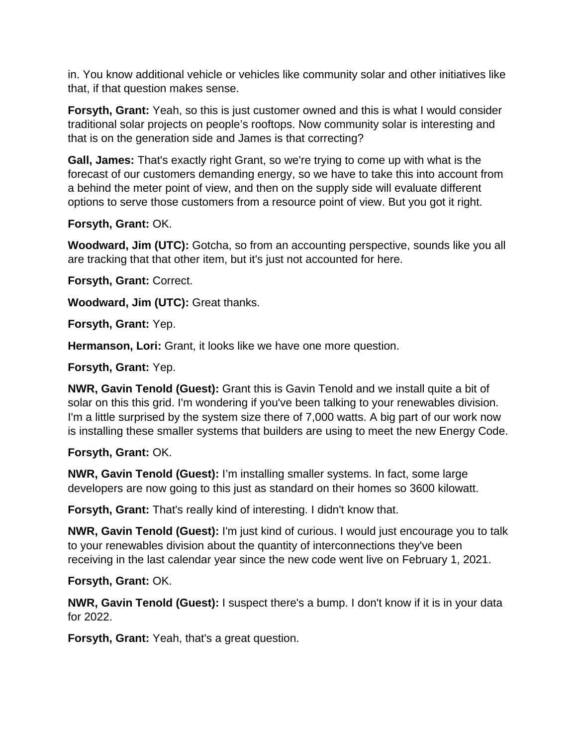in. You know additional vehicle or vehicles like community solar and other initiatives like that, if that question makes sense.

**Forsyth, Grant:** Yeah, so this is just customer owned and this is what I would consider traditional solar projects on people's rooftops. Now community solar is interesting and that is on the generation side and James is that correcting?

**Gall, James:** That's exactly right Grant, so we're trying to come up with what is the forecast of our customers demanding energy, so we have to take this into account from a behind the meter point of view, and then on the supply side will evaluate different options to serve those customers from a resource point of view. But you got it right.

**Forsyth, Grant:** OK.

**Woodward, Jim (UTC):** Gotcha, so from an accounting perspective, sounds like you all are tracking that that other item, but it's just not accounted for here.

**Forsyth, Grant:** Correct.

**Woodward, Jim (UTC):** Great thanks.

**Forsyth, Grant:** Yep.

**Hermanson, Lori:** Grant, it looks like we have one more question.

**Forsyth, Grant:** Yep.

**NWR, Gavin Tenold (Guest):** Grant this is Gavin Tenold and we install quite a bit of solar on this this grid. I'm wondering if you've been talking to your renewables division. I'm a little surprised by the system size there of 7,000 watts. A big part of our work now is installing these smaller systems that builders are using to meet the new Energy Code.

**Forsyth, Grant:** OK.

**NWR, Gavin Tenold (Guest):** I'm installing smaller systems. In fact, some large developers are now going to this just as standard on their homes so 3600 kilowatt.

**Forsyth, Grant:** That's really kind of interesting. I didn't know that.

**NWR, Gavin Tenold (Guest):** I'm just kind of curious. I would just encourage you to talk to your renewables division about the quantity of interconnections they've been receiving in the last calendar year since the new code went live on February 1, 2021.

**Forsyth, Grant:** OK.

**NWR, Gavin Tenold (Guest):** I suspect there's a bump. I don't know if it is in your data for 2022.

**Forsyth, Grant:** Yeah, that's a great question.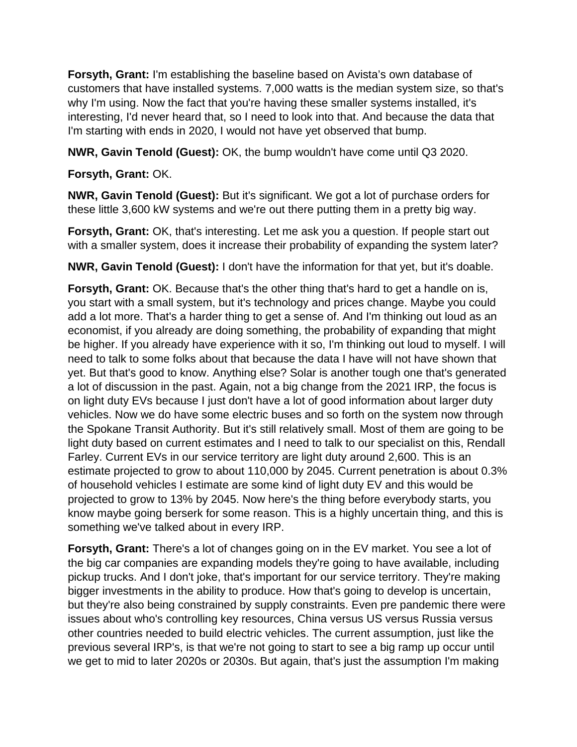**Forsyth, Grant:** I'm establishing the baseline based on Avista's own database of customers that have installed systems. 7,000 watts is the median system size, so that's why I'm using. Now the fact that you're having these smaller systems installed, it's interesting, I'd never heard that, so I need to look into that. And because the data that I'm starting with ends in 2020, I would not have yet observed that bump.

**NWR, Gavin Tenold (Guest):** OK, the bump wouldn't have come until Q3 2020.

# **Forsyth, Grant:** OK.

**NWR, Gavin Tenold (Guest):** But it's significant. We got a lot of purchase orders for these little 3,600 kW systems and we're out there putting them in a pretty big way.

**Forsyth, Grant:** OK, that's interesting. Let me ask you a question. If people start out with a smaller system, does it increase their probability of expanding the system later?

**NWR, Gavin Tenold (Guest):** I don't have the information for that yet, but it's doable.

**Forsyth, Grant:** OK. Because that's the other thing that's hard to get a handle on is, you start with a small system, but it's technology and prices change. Maybe you could add a lot more. That's a harder thing to get a sense of. And I'm thinking out loud as an economist, if you already are doing something, the probability of expanding that might be higher. If you already have experience with it so, I'm thinking out loud to myself. I will need to talk to some folks about that because the data I have will not have shown that yet. But that's good to know. Anything else? Solar is another tough one that's generated a lot of discussion in the past. Again, not a big change from the 2021 IRP, the focus is on light duty EVs because I just don't have a lot of good information about larger duty vehicles. Now we do have some electric buses and so forth on the system now through the Spokane Transit Authority. But it's still relatively small. Most of them are going to be light duty based on current estimates and I need to talk to our specialist on this, Rendall Farley. Current EVs in our service territory are light duty around 2,600. This is an estimate projected to grow to about 110,000 by 2045. Current penetration is about 0.3% of household vehicles I estimate are some kind of light duty EV and this would be projected to grow to 13% by 2045. Now here's the thing before everybody starts, you know maybe going berserk for some reason. This is a highly uncertain thing, and this is something we've talked about in every IRP.

**Forsyth, Grant:** There's a lot of changes going on in the EV market. You see a lot of the big car companies are expanding models they're going to have available, including pickup trucks. And I don't joke, that's important for our service territory. They're making bigger investments in the ability to produce. How that's going to develop is uncertain, but they're also being constrained by supply constraints. Even pre pandemic there were issues about who's controlling key resources, China versus US versus Russia versus other countries needed to build electric vehicles. The current assumption, just like the previous several IRP's, is that we're not going to start to see a big ramp up occur until we get to mid to later 2020s or 2030s. But again, that's just the assumption I'm making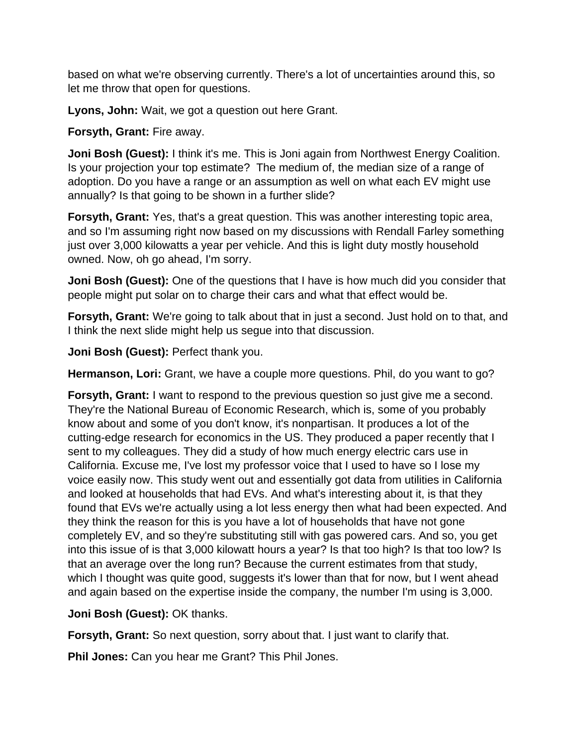based on what we're observing currently. There's a lot of uncertainties around this, so let me throw that open for questions.

**Lyons, John:** Wait, we got a question out here Grant.

**Forsyth, Grant:** Fire away.

**Joni Bosh (Guest):** I think it's me. This is Joni again from Northwest Energy Coalition. Is your projection your top estimate? The medium of, the median size of a range of adoption. Do you have a range or an assumption as well on what each EV might use annually? Is that going to be shown in a further slide?

**Forsyth, Grant:** Yes, that's a great question. This was another interesting topic area, and so I'm assuming right now based on my discussions with Rendall Farley something just over 3,000 kilowatts a year per vehicle. And this is light duty mostly household owned. Now, oh go ahead, I'm sorry.

**Joni Bosh (Guest):** One of the questions that I have is how much did you consider that people might put solar on to charge their cars and what that effect would be.

**Forsyth, Grant:** We're going to talk about that in just a second. Just hold on to that, and I think the next slide might help us segue into that discussion.

**Joni Bosh (Guest):** Perfect thank you.

**Hermanson, Lori:** Grant, we have a couple more questions. Phil, do you want to go?

**Forsyth, Grant:** I want to respond to the previous question so just give me a second. They're the National Bureau of Economic Research, which is, some of you probably know about and some of you don't know, it's nonpartisan. It produces a lot of the cutting-edge research for economics in the US. They produced a paper recently that I sent to my colleagues. They did a study of how much energy electric cars use in California. Excuse me, I've lost my professor voice that I used to have so I lose my voice easily now. This study went out and essentially got data from utilities in California and looked at households that had EVs. And what's interesting about it, is that they found that EVs we're actually using a lot less energy then what had been expected. And they think the reason for this is you have a lot of households that have not gone completely EV, and so they're substituting still with gas powered cars. And so, you get into this issue of is that 3,000 kilowatt hours a year? Is that too high? Is that too low? Is that an average over the long run? Because the current estimates from that study, which I thought was quite good, suggests it's lower than that for now, but I went ahead and again based on the expertise inside the company, the number I'm using is 3,000.

**Joni Bosh (Guest):** OK thanks.

**Forsyth, Grant:** So next question, sorry about that. I just want to clarify that.

**Phil Jones:** Can you hear me Grant? This Phil Jones.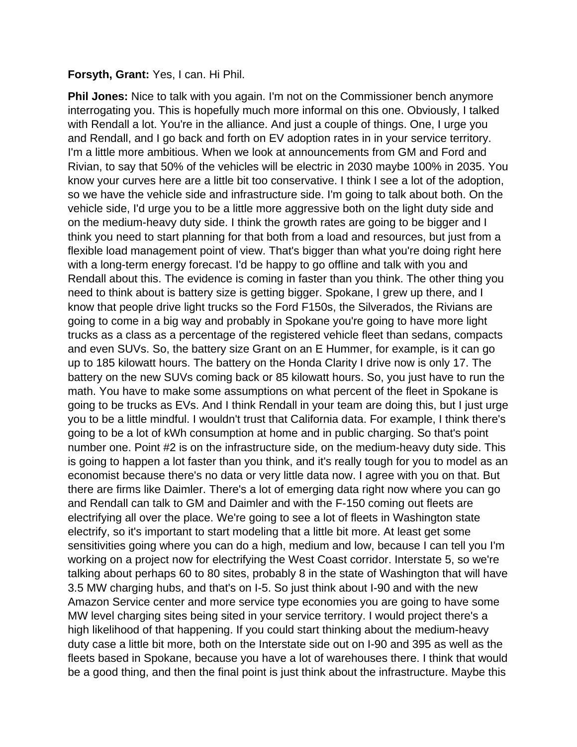#### **Forsyth, Grant:** Yes, I can. Hi Phil.

**Phil Jones:** Nice to talk with you again. I'm not on the Commissioner bench anymore interrogating you. This is hopefully much more informal on this one. Obviously, I talked with Rendall a lot. You're in the alliance. And just a couple of things. One, I urge you and Rendall, and I go back and forth on EV adoption rates in in your service territory. I'm a little more ambitious. When we look at announcements from GM and Ford and Rivian, to say that 50% of the vehicles will be electric in 2030 maybe 100% in 2035. You know your curves here are a little bit too conservative. I think I see a lot of the adoption, so we have the vehicle side and infrastructure side. I'm going to talk about both. On the vehicle side, I'd urge you to be a little more aggressive both on the light duty side and on the medium-heavy duty side. I think the growth rates are going to be bigger and I think you need to start planning for that both from a load and resources, but just from a flexible load management point of view. That's bigger than what you're doing right here with a long-term energy forecast. I'd be happy to go offline and talk with you and Rendall about this. The evidence is coming in faster than you think. The other thing you need to think about is battery size is getting bigger. Spokane, I grew up there, and I know that people drive light trucks so the Ford F150s, the Silverados, the Rivians are going to come in a big way and probably in Spokane you're going to have more light trucks as a class as a percentage of the registered vehicle fleet than sedans, compacts and even SUVs. So, the battery size Grant on an E Hummer, for example, is it can go up to 185 kilowatt hours. The battery on the Honda Clarity I drive now is only 17. The battery on the new SUVs coming back or 85 kilowatt hours. So, you just have to run the math. You have to make some assumptions on what percent of the fleet in Spokane is going to be trucks as EVs. And I think Rendall in your team are doing this, but I just urge you to be a little mindful. I wouldn't trust that California data. For example, I think there's going to be a lot of kWh consumption at home and in public charging. So that's point number one. Point #2 is on the infrastructure side, on the medium-heavy duty side. This is going to happen a lot faster than you think, and it's really tough for you to model as an economist because there's no data or very little data now. I agree with you on that. But there are firms like Daimler. There's a lot of emerging data right now where you can go and Rendall can talk to GM and Daimler and with the F-150 coming out fleets are electrifying all over the place. We're going to see a lot of fleets in Washington state electrify, so it's important to start modeling that a little bit more. At least get some sensitivities going where you can do a high, medium and low, because I can tell you I'm working on a project now for electrifying the West Coast corridor. Interstate 5, so we're talking about perhaps 60 to 80 sites, probably 8 in the state of Washington that will have 3.5 MW charging hubs, and that's on I-5. So just think about I-90 and with the new Amazon Service center and more service type economies you are going to have some MW level charging sites being sited in your service territory. I would project there's a high likelihood of that happening. If you could start thinking about the medium-heavy duty case a little bit more, both on the Interstate side out on I-90 and 395 as well as the fleets based in Spokane, because you have a lot of warehouses there. I think that would be a good thing, and then the final point is just think about the infrastructure. Maybe this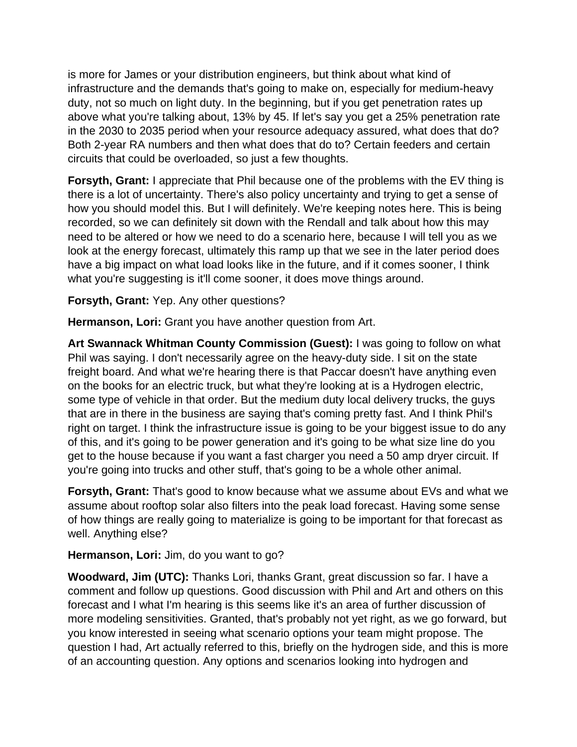is more for James or your distribution engineers, but think about what kind of infrastructure and the demands that's going to make on, especially for medium-heavy duty, not so much on light duty. In the beginning, but if you get penetration rates up above what you're talking about, 13% by 45. If let's say you get a 25% penetration rate in the 2030 to 2035 period when your resource adequacy assured, what does that do? Both 2-year RA numbers and then what does that do to? Certain feeders and certain circuits that could be overloaded, so just a few thoughts.

**Forsyth, Grant:** I appreciate that Phil because one of the problems with the EV thing is there is a lot of uncertainty. There's also policy uncertainty and trying to get a sense of how you should model this. But I will definitely. We're keeping notes here. This is being recorded, so we can definitely sit down with the Rendall and talk about how this may need to be altered or how we need to do a scenario here, because I will tell you as we look at the energy forecast, ultimately this ramp up that we see in the later period does have a big impact on what load looks like in the future, and if it comes sooner, I think what you're suggesting is it'll come sooner, it does move things around.

**Forsyth, Grant:** Yep. Any other questions?

**Hermanson, Lori:** Grant you have another question from Art.

**Art Swannack Whitman County Commission (Guest):** I was going to follow on what Phil was saying. I don't necessarily agree on the heavy-duty side. I sit on the state freight board. And what we're hearing there is that Paccar doesn't have anything even on the books for an electric truck, but what they're looking at is a Hydrogen electric, some type of vehicle in that order. But the medium duty local delivery trucks, the guys that are in there in the business are saying that's coming pretty fast. And I think Phil's right on target. I think the infrastructure issue is going to be your biggest issue to do any of this, and it's going to be power generation and it's going to be what size line do you get to the house because if you want a fast charger you need a 50 amp dryer circuit. If you're going into trucks and other stuff, that's going to be a whole other animal.

**Forsyth, Grant:** That's good to know because what we assume about EVs and what we assume about rooftop solar also filters into the peak load forecast. Having some sense of how things are really going to materialize is going to be important for that forecast as well. Anything else?

**Hermanson, Lori:** Jim, do you want to go?

**Woodward, Jim (UTC):** Thanks Lori, thanks Grant, great discussion so far. I have a comment and follow up questions. Good discussion with Phil and Art and others on this forecast and I what I'm hearing is this seems like it's an area of further discussion of more modeling sensitivities. Granted, that's probably not yet right, as we go forward, but you know interested in seeing what scenario options your team might propose. The question I had, Art actually referred to this, briefly on the hydrogen side, and this is more of an accounting question. Any options and scenarios looking into hydrogen and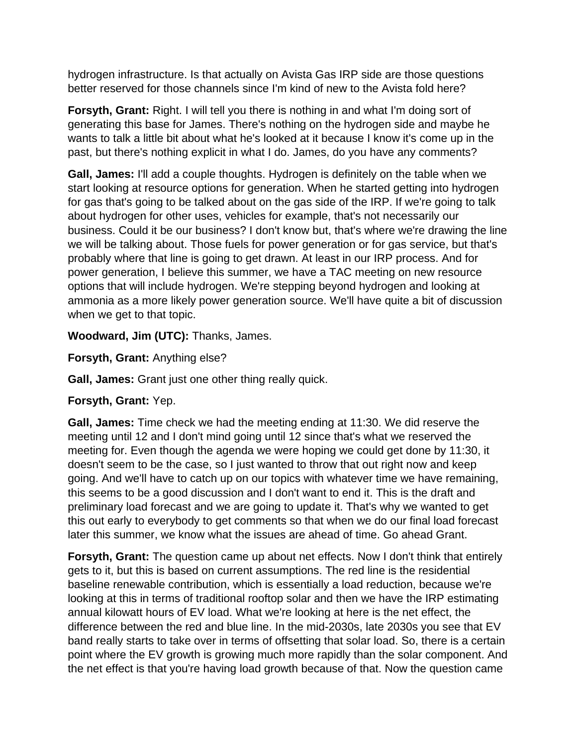hydrogen infrastructure. Is that actually on Avista Gas IRP side are those questions better reserved for those channels since I'm kind of new to the Avista fold here?

**Forsyth, Grant:** Right. I will tell you there is nothing in and what I'm doing sort of generating this base for James. There's nothing on the hydrogen side and maybe he wants to talk a little bit about what he's looked at it because I know it's come up in the past, but there's nothing explicit in what I do. James, do you have any comments?

**Gall, James:** I'll add a couple thoughts. Hydrogen is definitely on the table when we start looking at resource options for generation. When he started getting into hydrogen for gas that's going to be talked about on the gas side of the IRP. If we're going to talk about hydrogen for other uses, vehicles for example, that's not necessarily our business. Could it be our business? I don't know but, that's where we're drawing the line we will be talking about. Those fuels for power generation or for gas service, but that's probably where that line is going to get drawn. At least in our IRP process. And for power generation, I believe this summer, we have a TAC meeting on new resource options that will include hydrogen. We're stepping beyond hydrogen and looking at ammonia as a more likely power generation source. We'll have quite a bit of discussion when we get to that topic.

**Woodward, Jim (UTC):** Thanks, James.

**Forsyth, Grant:** Anything else?

**Gall, James:** Grant just one other thing really quick.

## **Forsyth, Grant:** Yep.

**Gall, James:** Time check we had the meeting ending at 11:30. We did reserve the meeting until 12 and I don't mind going until 12 since that's what we reserved the meeting for. Even though the agenda we were hoping we could get done by 11:30, it doesn't seem to be the case, so I just wanted to throw that out right now and keep going. And we'll have to catch up on our topics with whatever time we have remaining, this seems to be a good discussion and I don't want to end it. This is the draft and preliminary load forecast and we are going to update it. That's why we wanted to get this out early to everybody to get comments so that when we do our final load forecast later this summer, we know what the issues are ahead of time. Go ahead Grant.

**Forsyth, Grant:** The question came up about net effects. Now I don't think that entirely gets to it, but this is based on current assumptions. The red line is the residential baseline renewable contribution, which is essentially a load reduction, because we're looking at this in terms of traditional rooftop solar and then we have the IRP estimating annual kilowatt hours of EV load. What we're looking at here is the net effect, the difference between the red and blue line. In the mid-2030s, late 2030s you see that EV band really starts to take over in terms of offsetting that solar load. So, there is a certain point where the EV growth is growing much more rapidly than the solar component. And the net effect is that you're having load growth because of that. Now the question came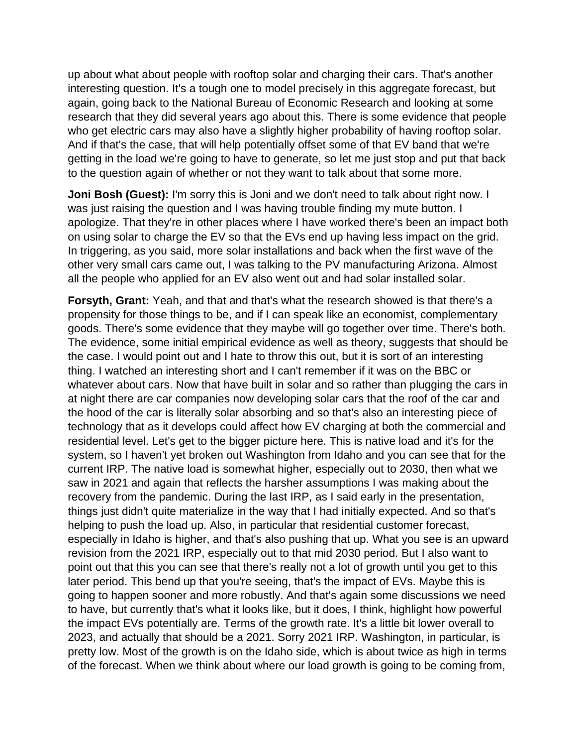up about what about people with rooftop solar and charging their cars. That's another interesting question. It's a tough one to model precisely in this aggregate forecast, but again, going back to the National Bureau of Economic Research and looking at some research that they did several years ago about this. There is some evidence that people who get electric cars may also have a slightly higher probability of having rooftop solar. And if that's the case, that will help potentially offset some of that EV band that we're getting in the load we're going to have to generate, so let me just stop and put that back to the question again of whether or not they want to talk about that some more.

**Joni Bosh (Guest):** I'm sorry this is Joni and we don't need to talk about right now. I was just raising the question and I was having trouble finding my mute button. I apologize. That they're in other places where I have worked there's been an impact both on using solar to charge the EV so that the EVs end up having less impact on the grid. In triggering, as you said, more solar installations and back when the first wave of the other very small cars came out, I was talking to the PV manufacturing Arizona. Almost all the people who applied for an EV also went out and had solar installed solar.

**Forsyth, Grant:** Yeah, and that and that's what the research showed is that there's a propensity for those things to be, and if I can speak like an economist, complementary goods. There's some evidence that they maybe will go together over time. There's both. The evidence, some initial empirical evidence as well as theory, suggests that should be the case. I would point out and I hate to throw this out, but it is sort of an interesting thing. I watched an interesting short and I can't remember if it was on the BBC or whatever about cars. Now that have built in solar and so rather than plugging the cars in at night there are car companies now developing solar cars that the roof of the car and the hood of the car is literally solar absorbing and so that's also an interesting piece of technology that as it develops could affect how EV charging at both the commercial and residential level. Let's get to the bigger picture here. This is native load and it's for the system, so I haven't yet broken out Washington from Idaho and you can see that for the current IRP. The native load is somewhat higher, especially out to 2030, then what we saw in 2021 and again that reflects the harsher assumptions I was making about the recovery from the pandemic. During the last IRP, as I said early in the presentation, things just didn't quite materialize in the way that I had initially expected. And so that's helping to push the load up. Also, in particular that residential customer forecast, especially in Idaho is higher, and that's also pushing that up. What you see is an upward revision from the 2021 IRP, especially out to that mid 2030 period. But I also want to point out that this you can see that there's really not a lot of growth until you get to this later period. This bend up that you're seeing, that's the impact of EVs. Maybe this is going to happen sooner and more robustly. And that's again some discussions we need to have, but currently that's what it looks like, but it does, I think, highlight how powerful the impact EVs potentially are. Terms of the growth rate. It's a little bit lower overall to 2023, and actually that should be a 2021. Sorry 2021 IRP. Washington, in particular, is pretty low. Most of the growth is on the Idaho side, which is about twice as high in terms of the forecast. When we think about where our load growth is going to be coming from,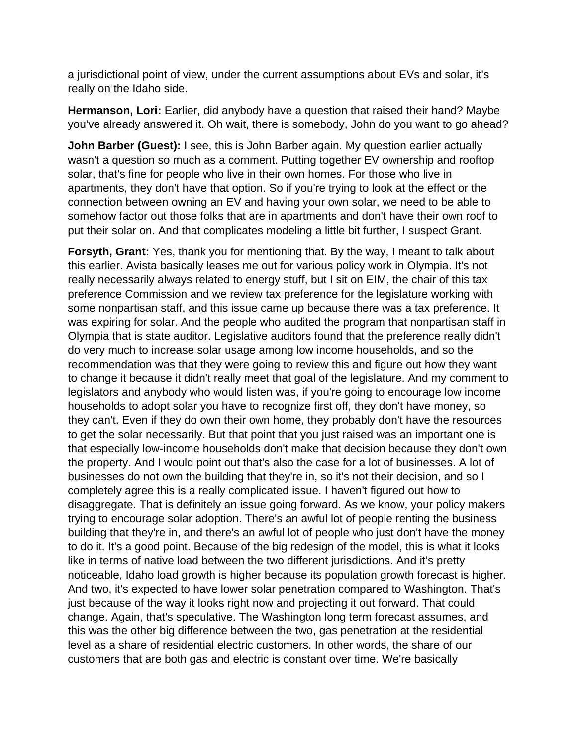a jurisdictional point of view, under the current assumptions about EVs and solar, it's really on the Idaho side.

**Hermanson, Lori:** Earlier, did anybody have a question that raised their hand? Maybe you've already answered it. Oh wait, there is somebody, John do you want to go ahead?

**John Barber (Guest):** I see, this is John Barber again. My question earlier actually wasn't a question so much as a comment. Putting together EV ownership and rooftop solar, that's fine for people who live in their own homes. For those who live in apartments, they don't have that option. So if you're trying to look at the effect or the connection between owning an EV and having your own solar, we need to be able to somehow factor out those folks that are in apartments and don't have their own roof to put their solar on. And that complicates modeling a little bit further, I suspect Grant.

**Forsyth, Grant:** Yes, thank you for mentioning that. By the way, I meant to talk about this earlier. Avista basically leases me out for various policy work in Olympia. It's not really necessarily always related to energy stuff, but I sit on EIM, the chair of this tax preference Commission and we review tax preference for the legislature working with some nonpartisan staff, and this issue came up because there was a tax preference. It was expiring for solar. And the people who audited the program that nonpartisan staff in Olympia that is state auditor. Legislative auditors found that the preference really didn't do very much to increase solar usage among low income households, and so the recommendation was that they were going to review this and figure out how they want to change it because it didn't really meet that goal of the legislature. And my comment to legislators and anybody who would listen was, if you're going to encourage low income households to adopt solar you have to recognize first off, they don't have money, so they can't. Even if they do own their own home, they probably don't have the resources to get the solar necessarily. But that point that you just raised was an important one is that especially low-income households don't make that decision because they don't own the property. And I would point out that's also the case for a lot of businesses. A lot of businesses do not own the building that they're in, so it's not their decision, and so I completely agree this is a really complicated issue. I haven't figured out how to disaggregate. That is definitely an issue going forward. As we know, your policy makers trying to encourage solar adoption. There's an awful lot of people renting the business building that they're in, and there's an awful lot of people who just don't have the money to do it. It's a good point. Because of the big redesign of the model, this is what it looks like in terms of native load between the two different jurisdictions. And it's pretty noticeable, Idaho load growth is higher because its population growth forecast is higher. And two, it's expected to have lower solar penetration compared to Washington. That's just because of the way it looks right now and projecting it out forward. That could change. Again, that's speculative. The Washington long term forecast assumes, and this was the other big difference between the two, gas penetration at the residential level as a share of residential electric customers. In other words, the share of our customers that are both gas and electric is constant over time. We're basically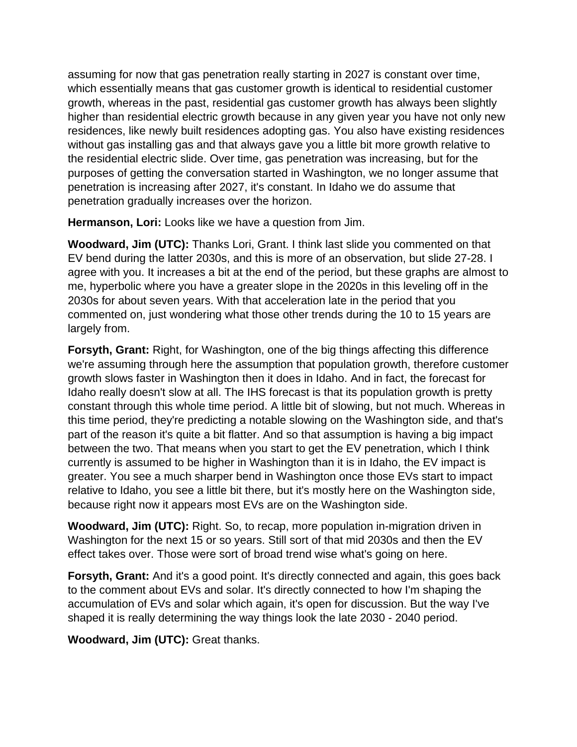assuming for now that gas penetration really starting in 2027 is constant over time, which essentially means that gas customer growth is identical to residential customer growth, whereas in the past, residential gas customer growth has always been slightly higher than residential electric growth because in any given year you have not only new residences, like newly built residences adopting gas. You also have existing residences without gas installing gas and that always gave you a little bit more growth relative to the residential electric slide. Over time, gas penetration was increasing, but for the purposes of getting the conversation started in Washington, we no longer assume that penetration is increasing after 2027, it's constant. In Idaho we do assume that penetration gradually increases over the horizon.

**Hermanson, Lori:** Looks like we have a question from Jim.

**Woodward, Jim (UTC):** Thanks Lori, Grant. I think last slide you commented on that EV bend during the latter 2030s, and this is more of an observation, but slide 27-28. I agree with you. It increases a bit at the end of the period, but these graphs are almost to me, hyperbolic where you have a greater slope in the 2020s in this leveling off in the 2030s for about seven years. With that acceleration late in the period that you commented on, just wondering what those other trends during the 10 to 15 years are largely from.

**Forsyth, Grant:** Right, for Washington, one of the big things affecting this difference we're assuming through here the assumption that population growth, therefore customer growth slows faster in Washington then it does in Idaho. And in fact, the forecast for Idaho really doesn't slow at all. The IHS forecast is that its population growth is pretty constant through this whole time period. A little bit of slowing, but not much. Whereas in this time period, they're predicting a notable slowing on the Washington side, and that's part of the reason it's quite a bit flatter. And so that assumption is having a big impact between the two. That means when you start to get the EV penetration, which I think currently is assumed to be higher in Washington than it is in Idaho, the EV impact is greater. You see a much sharper bend in Washington once those EVs start to impact relative to Idaho, you see a little bit there, but it's mostly here on the Washington side, because right now it appears most EVs are on the Washington side.

**Woodward, Jim (UTC):** Right. So, to recap, more population in-migration driven in Washington for the next 15 or so years. Still sort of that mid 2030s and then the EV effect takes over. Those were sort of broad trend wise what's going on here.

**Forsyth, Grant:** And it's a good point. It's directly connected and again, this goes back to the comment about EVs and solar. It's directly connected to how I'm shaping the accumulation of EVs and solar which again, it's open for discussion. But the way I've shaped it is really determining the way things look the late 2030 - 2040 period.

**Woodward, Jim (UTC):** Great thanks.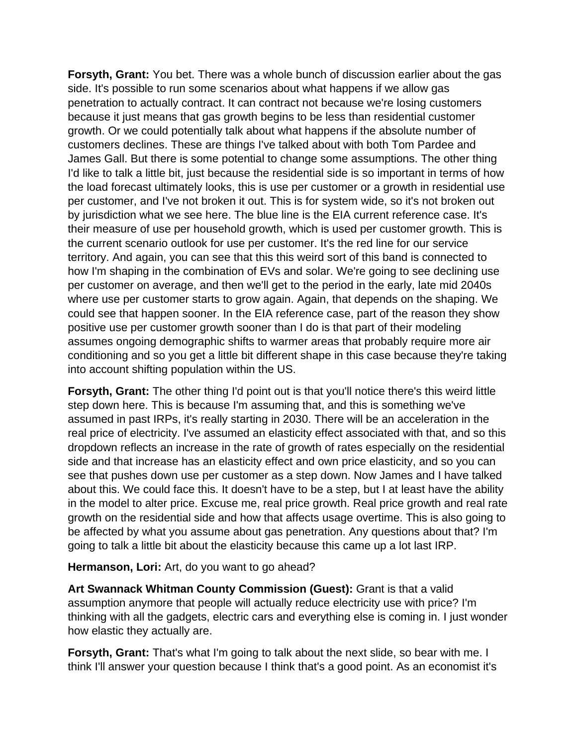**Forsyth, Grant:** You bet. There was a whole bunch of discussion earlier about the gas side. It's possible to run some scenarios about what happens if we allow gas penetration to actually contract. It can contract not because we're losing customers because it just means that gas growth begins to be less than residential customer growth. Or we could potentially talk about what happens if the absolute number of customers declines. These are things I've talked about with both Tom Pardee and James Gall. But there is some potential to change some assumptions. The other thing I'd like to talk a little bit, just because the residential side is so important in terms of how the load forecast ultimately looks, this is use per customer or a growth in residential use per customer, and I've not broken it out. This is for system wide, so it's not broken out by jurisdiction what we see here. The blue line is the EIA current reference case. It's their measure of use per household growth, which is used per customer growth. This is the current scenario outlook for use per customer. It's the red line for our service territory. And again, you can see that this this weird sort of this band is connected to how I'm shaping in the combination of EVs and solar. We're going to see declining use per customer on average, and then we'll get to the period in the early, late mid 2040s where use per customer starts to grow again. Again, that depends on the shaping. We could see that happen sooner. In the EIA reference case, part of the reason they show positive use per customer growth sooner than I do is that part of their modeling assumes ongoing demographic shifts to warmer areas that probably require more air conditioning and so you get a little bit different shape in this case because they're taking into account shifting population within the US.

**Forsyth, Grant:** The other thing I'd point out is that you'll notice there's this weird little step down here. This is because I'm assuming that, and this is something we've assumed in past IRPs, it's really starting in 2030. There will be an acceleration in the real price of electricity. I've assumed an elasticity effect associated with that, and so this dropdown reflects an increase in the rate of growth of rates especially on the residential side and that increase has an elasticity effect and own price elasticity, and so you can see that pushes down use per customer as a step down. Now James and I have talked about this. We could face this. It doesn't have to be a step, but I at least have the ability in the model to alter price. Excuse me, real price growth. Real price growth and real rate growth on the residential side and how that affects usage overtime. This is also going to be affected by what you assume about gas penetration. Any questions about that? I'm going to talk a little bit about the elasticity because this came up a lot last IRP.

**Hermanson, Lori:** Art, do you want to go ahead?

**Art Swannack Whitman County Commission (Guest):** Grant is that a valid assumption anymore that people will actually reduce electricity use with price? I'm thinking with all the gadgets, electric cars and everything else is coming in. I just wonder how elastic they actually are.

**Forsyth, Grant:** That's what I'm going to talk about the next slide, so bear with me. I think I'll answer your question because I think that's a good point. As an economist it's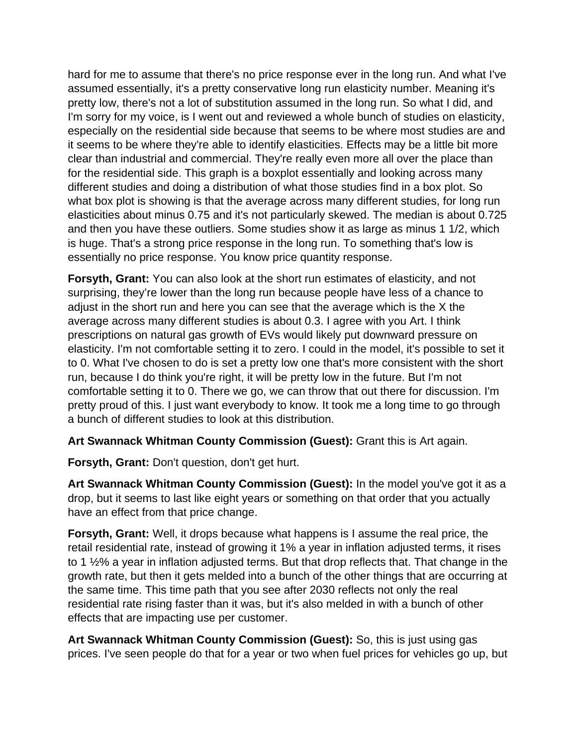hard for me to assume that there's no price response ever in the long run. And what I've assumed essentially, it's a pretty conservative long run elasticity number. Meaning it's pretty low, there's not a lot of substitution assumed in the long run. So what I did, and I'm sorry for my voice, is I went out and reviewed a whole bunch of studies on elasticity, especially on the residential side because that seems to be where most studies are and it seems to be where they're able to identify elasticities. Effects may be a little bit more clear than industrial and commercial. They're really even more all over the place than for the residential side. This graph is a boxplot essentially and looking across many different studies and doing a distribution of what those studies find in a box plot. So what box plot is showing is that the average across many different studies, for long run elasticities about minus 0.75 and it's not particularly skewed. The median is about 0.725 and then you have these outliers. Some studies show it as large as minus 1 1/2, which is huge. That's a strong price response in the long run. To something that's low is essentially no price response. You know price quantity response.

**Forsyth, Grant:** You can also look at the short run estimates of elasticity, and not surprising, they're lower than the long run because people have less of a chance to adjust in the short run and here you can see that the average which is the X the average across many different studies is about 0.3. I agree with you Art. I think prescriptions on natural gas growth of EVs would likely put downward pressure on elasticity. I'm not comfortable setting it to zero. I could in the model, it's possible to set it to 0. What I've chosen to do is set a pretty low one that's more consistent with the short run, because I do think you're right, it will be pretty low in the future. But I'm not comfortable setting it to 0. There we go, we can throw that out there for discussion. I'm pretty proud of this. I just want everybody to know. It took me a long time to go through a bunch of different studies to look at this distribution.

**Art Swannack Whitman County Commission (Guest):** Grant this is Art again.

**Forsyth, Grant:** Don't question, don't get hurt.

**Art Swannack Whitman County Commission (Guest):** In the model you've got it as a drop, but it seems to last like eight years or something on that order that you actually have an effect from that price change.

**Forsyth, Grant:** Well, it drops because what happens is I assume the real price, the retail residential rate, instead of growing it 1% a year in inflation adjusted terms, it rises to 1 ½% a year in inflation adjusted terms. But that drop reflects that. That change in the growth rate, but then it gets melded into a bunch of the other things that are occurring at the same time. This time path that you see after 2030 reflects not only the real residential rate rising faster than it was, but it's also melded in with a bunch of other effects that are impacting use per customer.

**Art Swannack Whitman County Commission (Guest):** So, this is just using gas prices. I've seen people do that for a year or two when fuel prices for vehicles go up, but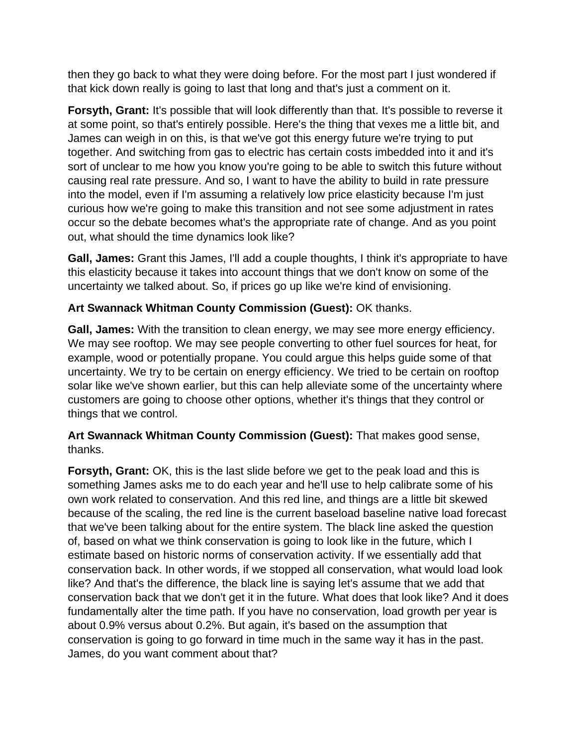then they go back to what they were doing before. For the most part I just wondered if that kick down really is going to last that long and that's just a comment on it.

**Forsyth, Grant:** It's possible that will look differently than that. It's possible to reverse it at some point, so that's entirely possible. Here's the thing that vexes me a little bit, and James can weigh in on this, is that we've got this energy future we're trying to put together. And switching from gas to electric has certain costs imbedded into it and it's sort of unclear to me how you know you're going to be able to switch this future without causing real rate pressure. And so, I want to have the ability to build in rate pressure into the model, even if I'm assuming a relatively low price elasticity because I'm just curious how we're going to make this transition and not see some adjustment in rates occur so the debate becomes what's the appropriate rate of change. And as you point out, what should the time dynamics look like?

**Gall, James:** Grant this James, I'll add a couple thoughts, I think it's appropriate to have this elasticity because it takes into account things that we don't know on some of the uncertainty we talked about. So, if prices go up like we're kind of envisioning.

# **Art Swannack Whitman County Commission (Guest):** OK thanks.

**Gall, James:** With the transition to clean energy, we may see more energy efficiency. We may see rooftop. We may see people converting to other fuel sources for heat, for example, wood or potentially propane. You could argue this helps guide some of that uncertainty. We try to be certain on energy efficiency. We tried to be certain on rooftop solar like we've shown earlier, but this can help alleviate some of the uncertainty where customers are going to choose other options, whether it's things that they control or things that we control.

**Art Swannack Whitman County Commission (Guest):** That makes good sense, thanks.

**Forsyth, Grant:** OK, this is the last slide before we get to the peak load and this is something James asks me to do each year and he'll use to help calibrate some of his own work related to conservation. And this red line, and things are a little bit skewed because of the scaling, the red line is the current baseload baseline native load forecast that we've been talking about for the entire system. The black line asked the question of, based on what we think conservation is going to look like in the future, which I estimate based on historic norms of conservation activity. If we essentially add that conservation back. In other words, if we stopped all conservation, what would load look like? And that's the difference, the black line is saying let's assume that we add that conservation back that we don't get it in the future. What does that look like? And it does fundamentally alter the time path. If you have no conservation, load growth per year is about 0.9% versus about 0.2%. But again, it's based on the assumption that conservation is going to go forward in time much in the same way it has in the past. James, do you want comment about that?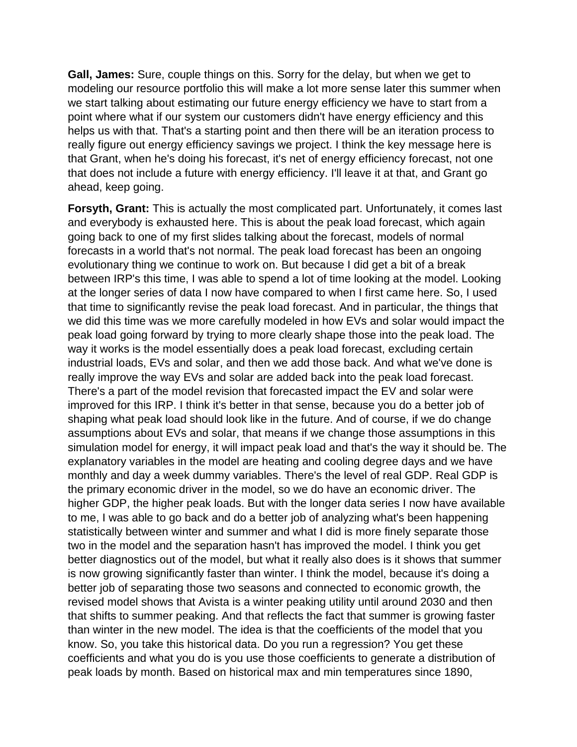**Gall, James:** Sure, couple things on this. Sorry for the delay, but when we get to modeling our resource portfolio this will make a lot more sense later this summer when we start talking about estimating our future energy efficiency we have to start from a point where what if our system our customers didn't have energy efficiency and this helps us with that. That's a starting point and then there will be an iteration process to really figure out energy efficiency savings we project. I think the key message here is that Grant, when he's doing his forecast, it's net of energy efficiency forecast, not one that does not include a future with energy efficiency. I'll leave it at that, and Grant go ahead, keep going.

**Forsyth, Grant:** This is actually the most complicated part. Unfortunately, it comes last and everybody is exhausted here. This is about the peak load forecast, which again going back to one of my first slides talking about the forecast, models of normal forecasts in a world that's not normal. The peak load forecast has been an ongoing evolutionary thing we continue to work on. But because I did get a bit of a break between IRP's this time, I was able to spend a lot of time looking at the model. Looking at the longer series of data I now have compared to when I first came here. So, I used that time to significantly revise the peak load forecast. And in particular, the things that we did this time was we more carefully modeled in how EVs and solar would impact the peak load going forward by trying to more clearly shape those into the peak load. The way it works is the model essentially does a peak load forecast, excluding certain industrial loads, EVs and solar, and then we add those back. And what we've done is really improve the way EVs and solar are added back into the peak load forecast. There's a part of the model revision that forecasted impact the EV and solar were improved for this IRP. I think it's better in that sense, because you do a better job of shaping what peak load should look like in the future. And of course, if we do change assumptions about EVs and solar, that means if we change those assumptions in this simulation model for energy, it will impact peak load and that's the way it should be. The explanatory variables in the model are heating and cooling degree days and we have monthly and day a week dummy variables. There's the level of real GDP. Real GDP is the primary economic driver in the model, so we do have an economic driver. The higher GDP, the higher peak loads. But with the longer data series I now have available to me, I was able to go back and do a better job of analyzing what's been happening statistically between winter and summer and what I did is more finely separate those two in the model and the separation hasn't has improved the model. I think you get better diagnostics out of the model, but what it really also does is it shows that summer is now growing significantly faster than winter. I think the model, because it's doing a better job of separating those two seasons and connected to economic growth, the revised model shows that Avista is a winter peaking utility until around 2030 and then that shifts to summer peaking. And that reflects the fact that summer is growing faster than winter in the new model. The idea is that the coefficients of the model that you know. So, you take this historical data. Do you run a regression? You get these coefficients and what you do is you use those coefficients to generate a distribution of peak loads by month. Based on historical max and min temperatures since 1890,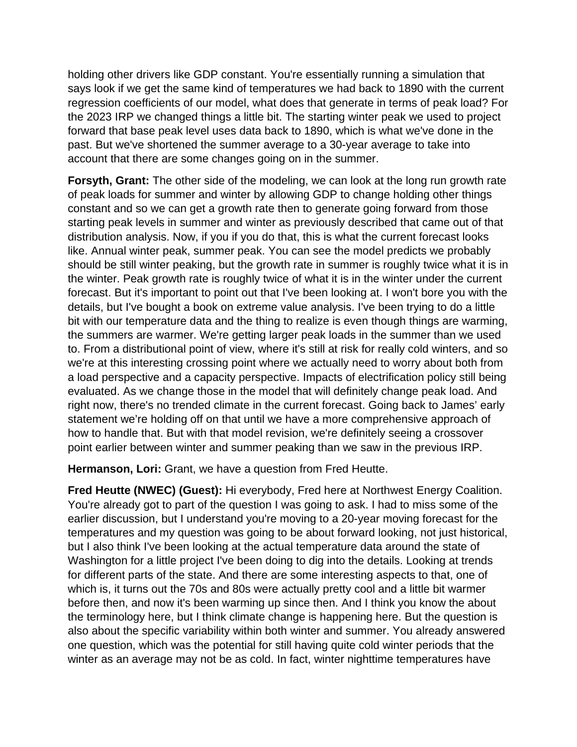holding other drivers like GDP constant. You're essentially running a simulation that says look if we get the same kind of temperatures we had back to 1890 with the current regression coefficients of our model, what does that generate in terms of peak load? For the 2023 IRP we changed things a little bit. The starting winter peak we used to project forward that base peak level uses data back to 1890, which is what we've done in the past. But we've shortened the summer average to a 30-year average to take into account that there are some changes going on in the summer.

**Forsyth, Grant:** The other side of the modeling, we can look at the long run growth rate of peak loads for summer and winter by allowing GDP to change holding other things constant and so we can get a growth rate then to generate going forward from those starting peak levels in summer and winter as previously described that came out of that distribution analysis. Now, if you if you do that, this is what the current forecast looks like. Annual winter peak, summer peak. You can see the model predicts we probably should be still winter peaking, but the growth rate in summer is roughly twice what it is in the winter. Peak growth rate is roughly twice of what it is in the winter under the current forecast. But it's important to point out that I've been looking at. I won't bore you with the details, but I've bought a book on extreme value analysis. I've been trying to do a little bit with our temperature data and the thing to realize is even though things are warming, the summers are warmer. We're getting larger peak loads in the summer than we used to. From a distributional point of view, where it's still at risk for really cold winters, and so we're at this interesting crossing point where we actually need to worry about both from a load perspective and a capacity perspective. Impacts of electrification policy still being evaluated. As we change those in the model that will definitely change peak load. And right now, there's no trended climate in the current forecast. Going back to James' early statement we're holding off on that until we have a more comprehensive approach of how to handle that. But with that model revision, we're definitely seeing a crossover point earlier between winter and summer peaking than we saw in the previous IRP.

**Hermanson, Lori:** Grant, we have a question from Fred Heutte.

**Fred Heutte (NWEC) (Guest):** Hi everybody, Fred here at Northwest Energy Coalition. You're already got to part of the question I was going to ask. I had to miss some of the earlier discussion, but I understand you're moving to a 20-year moving forecast for the temperatures and my question was going to be about forward looking, not just historical, but I also think I've been looking at the actual temperature data around the state of Washington for a little project I've been doing to dig into the details. Looking at trends for different parts of the state. And there are some interesting aspects to that, one of which is, it turns out the 70s and 80s were actually pretty cool and a little bit warmer before then, and now it's been warming up since then. And I think you know the about the terminology here, but I think climate change is happening here. But the question is also about the specific variability within both winter and summer. You already answered one question, which was the potential for still having quite cold winter periods that the winter as an average may not be as cold. In fact, winter nighttime temperatures have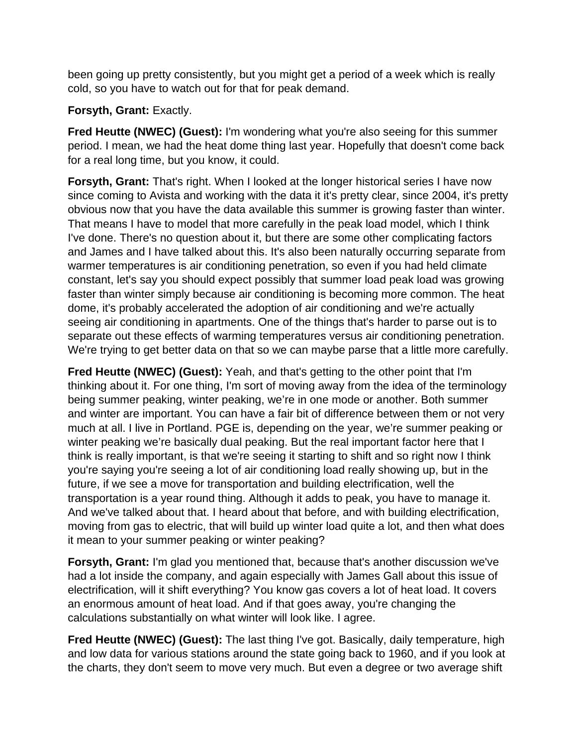been going up pretty consistently, but you might get a period of a week which is really cold, so you have to watch out for that for peak demand.

# **Forsyth, Grant:** Exactly.

**Fred Heutte (NWEC) (Guest):** I'm wondering what you're also seeing for this summer period. I mean, we had the heat dome thing last year. Hopefully that doesn't come back for a real long time, but you know, it could.

**Forsyth, Grant:** That's right. When I looked at the longer historical series I have now since coming to Avista and working with the data it it's pretty clear, since 2004, it's pretty obvious now that you have the data available this summer is growing faster than winter. That means I have to model that more carefully in the peak load model, which I think I've done. There's no question about it, but there are some other complicating factors and James and I have talked about this. It's also been naturally occurring separate from warmer temperatures is air conditioning penetration, so even if you had held climate constant, let's say you should expect possibly that summer load peak load was growing faster than winter simply because air conditioning is becoming more common. The heat dome, it's probably accelerated the adoption of air conditioning and we're actually seeing air conditioning in apartments. One of the things that's harder to parse out is to separate out these effects of warming temperatures versus air conditioning penetration. We're trying to get better data on that so we can maybe parse that a little more carefully.

**Fred Heutte (NWEC) (Guest):** Yeah, and that's getting to the other point that I'm thinking about it. For one thing, I'm sort of moving away from the idea of the terminology being summer peaking, winter peaking, we're in one mode or another. Both summer and winter are important. You can have a fair bit of difference between them or not very much at all. I live in Portland. PGE is, depending on the year, we're summer peaking or winter peaking we're basically dual peaking. But the real important factor here that I think is really important, is that we're seeing it starting to shift and so right now I think you're saying you're seeing a lot of air conditioning load really showing up, but in the future, if we see a move for transportation and building electrification, well the transportation is a year round thing. Although it adds to peak, you have to manage it. And we've talked about that. I heard about that before, and with building electrification, moving from gas to electric, that will build up winter load quite a lot, and then what does it mean to your summer peaking or winter peaking?

**Forsyth, Grant:** I'm glad you mentioned that, because that's another discussion we've had a lot inside the company, and again especially with James Gall about this issue of electrification, will it shift everything? You know gas covers a lot of heat load. It covers an enormous amount of heat load. And if that goes away, you're changing the calculations substantially on what winter will look like. I agree.

**Fred Heutte (NWEC) (Guest):** The last thing I've got. Basically, daily temperature, high and low data for various stations around the state going back to 1960, and if you look at the charts, they don't seem to move very much. But even a degree or two average shift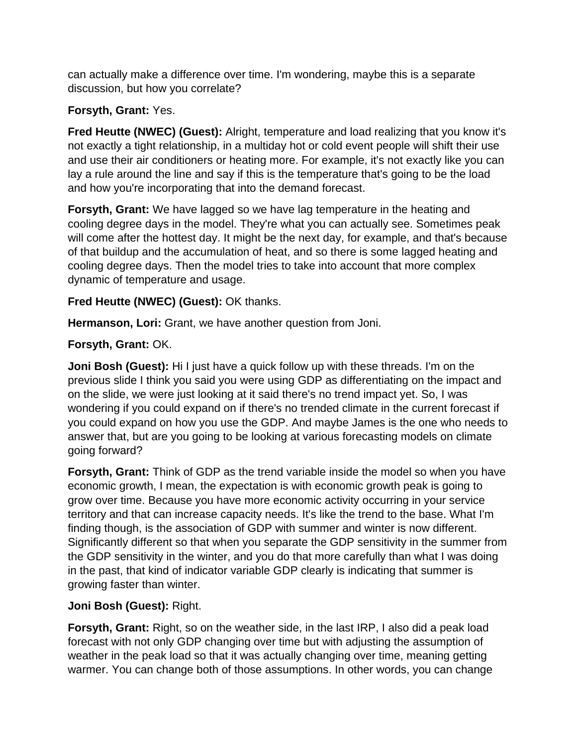can actually make a difference over time. I'm wondering, maybe this is a separate discussion, but how you correlate?

# **Forsyth, Grant:** Yes.

**Fred Heutte (NWEC) (Guest):** Alright, temperature and load realizing that you know it's not exactly a tight relationship, in a multiday hot or cold event people will shift their use and use their air conditioners or heating more. For example, it's not exactly like you can lay a rule around the line and say if this is the temperature that's going to be the load and how you're incorporating that into the demand forecast.

**Forsyth, Grant:** We have lagged so we have lag temperature in the heating and cooling degree days in the model. They're what you can actually see. Sometimes peak will come after the hottest day. It might be the next day, for example, and that's because of that buildup and the accumulation of heat, and so there is some lagged heating and cooling degree days. Then the model tries to take into account that more complex dynamic of temperature and usage.

# **Fred Heutte (NWEC) (Guest):** OK thanks.

**Hermanson, Lori:** Grant, we have another question from Joni.

## **Forsyth, Grant:** OK.

**Joni Bosh (Guest):** Hi I just have a quick follow up with these threads. I'm on the previous slide I think you said you were using GDP as differentiating on the impact and on the slide, we were just looking at it said there's no trend impact yet. So, I was wondering if you could expand on if there's no trended climate in the current forecast if you could expand on how you use the GDP. And maybe James is the one who needs to answer that, but are you going to be looking at various forecasting models on climate going forward?

**Forsyth, Grant:** Think of GDP as the trend variable inside the model so when you have economic growth, I mean, the expectation is with economic growth peak is going to grow over time. Because you have more economic activity occurring in your service territory and that can increase capacity needs. It's like the trend to the base. What I'm finding though, is the association of GDP with summer and winter is now different. Significantly different so that when you separate the GDP sensitivity in the summer from the GDP sensitivity in the winter, and you do that more carefully than what I was doing in the past, that kind of indicator variable GDP clearly is indicating that summer is growing faster than winter.

## **Joni Bosh (Guest):** Right.

**Forsyth, Grant:** Right, so on the weather side, in the last IRP, I also did a peak load forecast with not only GDP changing over time but with adjusting the assumption of weather in the peak load so that it was actually changing over time, meaning getting warmer. You can change both of those assumptions. In other words, you can change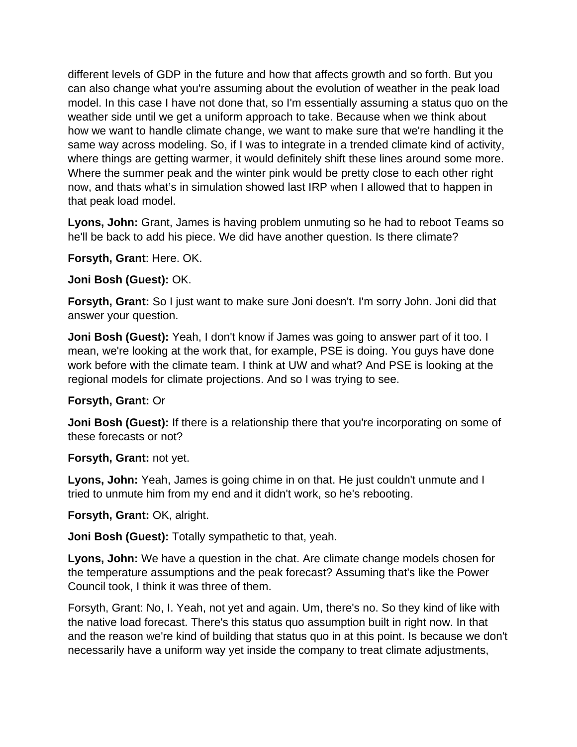different levels of GDP in the future and how that affects growth and so forth. But you can also change what you're assuming about the evolution of weather in the peak load model. In this case I have not done that, so I'm essentially assuming a status quo on the weather side until we get a uniform approach to take. Because when we think about how we want to handle climate change, we want to make sure that we're handling it the same way across modeling. So, if I was to integrate in a trended climate kind of activity, where things are getting warmer, it would definitely shift these lines around some more. Where the summer peak and the winter pink would be pretty close to each other right now, and thats what's in simulation showed last IRP when I allowed that to happen in that peak load model.

**Lyons, John:** Grant, James is having problem unmuting so he had to reboot Teams so he'll be back to add his piece. We did have another question. Is there climate?

**Forsyth, Grant**: Here. OK.

### **Joni Bosh (Guest):** OK.

**Forsyth, Grant:** So I just want to make sure Joni doesn't. I'm sorry John. Joni did that answer your question.

**Joni Bosh (Guest):** Yeah, I don't know if James was going to answer part of it too. I mean, we're looking at the work that, for example, PSE is doing. You guys have done work before with the climate team. I think at UW and what? And PSE is looking at the regional models for climate projections. And so I was trying to see.

### **Forsyth, Grant:** Or

**Joni Bosh (Guest):** If there is a relationship there that you're incorporating on some of these forecasts or not?

### **Forsyth, Grant:** not yet.

**Lyons, John:** Yeah, James is going chime in on that. He just couldn't unmute and I tried to unmute him from my end and it didn't work, so he's rebooting.

**Forsyth, Grant:** OK, alright.

**Joni Bosh (Guest):** Totally sympathetic to that, yeah.

**Lyons, John:** We have a question in the chat. Are climate change models chosen for the temperature assumptions and the peak forecast? Assuming that's like the Power Council took, I think it was three of them.

Forsyth, Grant: No, I. Yeah, not yet and again. Um, there's no. So they kind of like with the native load forecast. There's this status quo assumption built in right now. In that and the reason we're kind of building that status quo in at this point. Is because we don't necessarily have a uniform way yet inside the company to treat climate adjustments,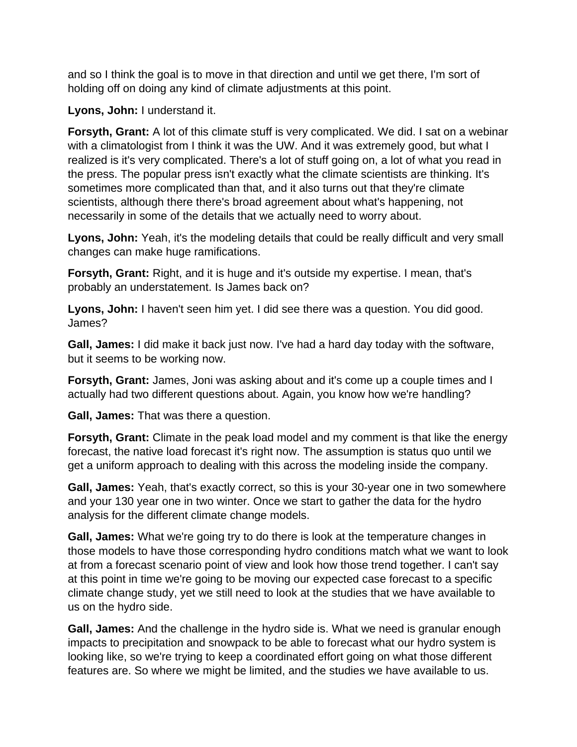and so I think the goal is to move in that direction and until we get there, I'm sort of holding off on doing any kind of climate adjustments at this point.

**Lyons, John:** I understand it.

**Forsyth, Grant:** A lot of this climate stuff is very complicated. We did. I sat on a webinar with a climatologist from I think it was the UW. And it was extremely good, but what I realized is it's very complicated. There's a lot of stuff going on, a lot of what you read in the press. The popular press isn't exactly what the climate scientists are thinking. It's sometimes more complicated than that, and it also turns out that they're climate scientists, although there there's broad agreement about what's happening, not necessarily in some of the details that we actually need to worry about.

Lyons, John: Yeah, it's the modeling details that could be really difficult and very small changes can make huge ramifications.

**Forsyth, Grant:** Right, and it is huge and it's outside my expertise. I mean, that's probably an understatement. Is James back on?

**Lyons, John:** I haven't seen him yet. I did see there was a question. You did good. James?

**Gall, James:** I did make it back just now. I've had a hard day today with the software, but it seems to be working now.

**Forsyth, Grant:** James, Joni was asking about and it's come up a couple times and I actually had two different questions about. Again, you know how we're handling?

**Gall, James:** That was there a question.

**Forsyth, Grant:** Climate in the peak load model and my comment is that like the energy forecast, the native load forecast it's right now. The assumption is status quo until we get a uniform approach to dealing with this across the modeling inside the company.

**Gall, James:** Yeah, that's exactly correct, so this is your 30-year one in two somewhere and your 130 year one in two winter. Once we start to gather the data for the hydro analysis for the different climate change models.

**Gall, James:** What we're going try to do there is look at the temperature changes in those models to have those corresponding hydro conditions match what we want to look at from a forecast scenario point of view and look how those trend together. I can't say at this point in time we're going to be moving our expected case forecast to a specific climate change study, yet we still need to look at the studies that we have available to us on the hydro side.

**Gall, James:** And the challenge in the hydro side is. What we need is granular enough impacts to precipitation and snowpack to be able to forecast what our hydro system is looking like, so we're trying to keep a coordinated effort going on what those different features are. So where we might be limited, and the studies we have available to us.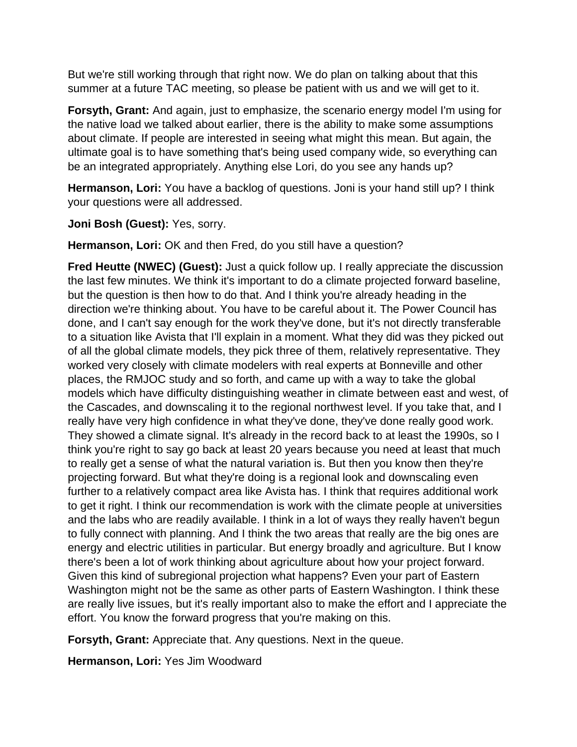But we're still working through that right now. We do plan on talking about that this summer at a future TAC meeting, so please be patient with us and we will get to it.

**Forsyth, Grant:** And again, just to emphasize, the scenario energy model I'm using for the native load we talked about earlier, there is the ability to make some assumptions about climate. If people are interested in seeing what might this mean. But again, the ultimate goal is to have something that's being used company wide, so everything can be an integrated appropriately. Anything else Lori, do you see any hands up?

**Hermanson, Lori:** You have a backlog of questions. Joni is your hand still up? I think your questions were all addressed.

**Joni Bosh (Guest):** Yes, sorry.

**Hermanson, Lori:** OK and then Fred, do you still have a question?

**Fred Heutte (NWEC) (Guest):** Just a quick follow up. I really appreciate the discussion the last few minutes. We think it's important to do a climate projected forward baseline, but the question is then how to do that. And I think you're already heading in the direction we're thinking about. You have to be careful about it. The Power Council has done, and I can't say enough for the work they've done, but it's not directly transferable to a situation like Avista that I'll explain in a moment. What they did was they picked out of all the global climate models, they pick three of them, relatively representative. They worked very closely with climate modelers with real experts at Bonneville and other places, the RMJOC study and so forth, and came up with a way to take the global models which have difficulty distinguishing weather in climate between east and west, of the Cascades, and downscaling it to the regional northwest level. If you take that, and I really have very high confidence in what they've done, they've done really good work. They showed a climate signal. It's already in the record back to at least the 1990s, so I think you're right to say go back at least 20 years because you need at least that much to really get a sense of what the natural variation is. But then you know then they're projecting forward. But what they're doing is a regional look and downscaling even further to a relatively compact area like Avista has. I think that requires additional work to get it right. I think our recommendation is work with the climate people at universities and the labs who are readily available. I think in a lot of ways they really haven't begun to fully connect with planning. And I think the two areas that really are the big ones are energy and electric utilities in particular. But energy broadly and agriculture. But I know there's been a lot of work thinking about agriculture about how your project forward. Given this kind of subregional projection what happens? Even your part of Eastern Washington might not be the same as other parts of Eastern Washington. I think these are really live issues, but it's really important also to make the effort and I appreciate the effort. You know the forward progress that you're making on this.

**Forsyth, Grant:** Appreciate that. Any questions. Next in the queue.

**Hermanson, Lori:** Yes Jim Woodward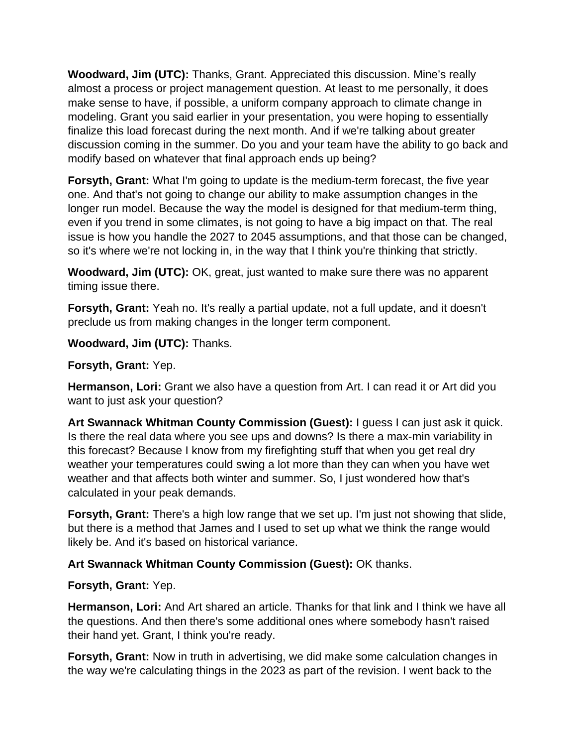**Woodward, Jim (UTC):** Thanks, Grant. Appreciated this discussion. Mine's really almost a process or project management question. At least to me personally, it does make sense to have, if possible, a uniform company approach to climate change in modeling. Grant you said earlier in your presentation, you were hoping to essentially finalize this load forecast during the next month. And if we're talking about greater discussion coming in the summer. Do you and your team have the ability to go back and modify based on whatever that final approach ends up being?

**Forsyth, Grant:** What I'm going to update is the medium-term forecast, the five year one. And that's not going to change our ability to make assumption changes in the longer run model. Because the way the model is designed for that medium-term thing, even if you trend in some climates, is not going to have a big impact on that. The real issue is how you handle the 2027 to 2045 assumptions, and that those can be changed, so it's where we're not locking in, in the way that I think you're thinking that strictly.

**Woodward, Jim (UTC):** OK, great, just wanted to make sure there was no apparent timing issue there.

**Forsyth, Grant:** Yeah no. It's really a partial update, not a full update, and it doesn't preclude us from making changes in the longer term component.

**Woodward, Jim (UTC):** Thanks.

### **Forsyth, Grant:** Yep.

**Hermanson, Lori:** Grant we also have a question from Art. I can read it or Art did you want to just ask your question?

**Art Swannack Whitman County Commission (Guest):** I guess I can just ask it quick. Is there the real data where you see ups and downs? Is there a max-min variability in this forecast? Because I know from my firefighting stuff that when you get real dry weather your temperatures could swing a lot more than they can when you have wet weather and that affects both winter and summer. So, I just wondered how that's calculated in your peak demands.

**Forsyth, Grant:** There's a high low range that we set up. I'm just not showing that slide, but there is a method that James and I used to set up what we think the range would likely be. And it's based on historical variance.

**Art Swannack Whitman County Commission (Guest):** OK thanks.

## **Forsyth, Grant:** Yep.

**Hermanson, Lori:** And Art shared an article. Thanks for that link and I think we have all the questions. And then there's some additional ones where somebody hasn't raised their hand yet. Grant, I think you're ready.

**Forsyth, Grant:** Now in truth in advertising, we did make some calculation changes in the way we're calculating things in the 2023 as part of the revision. I went back to the